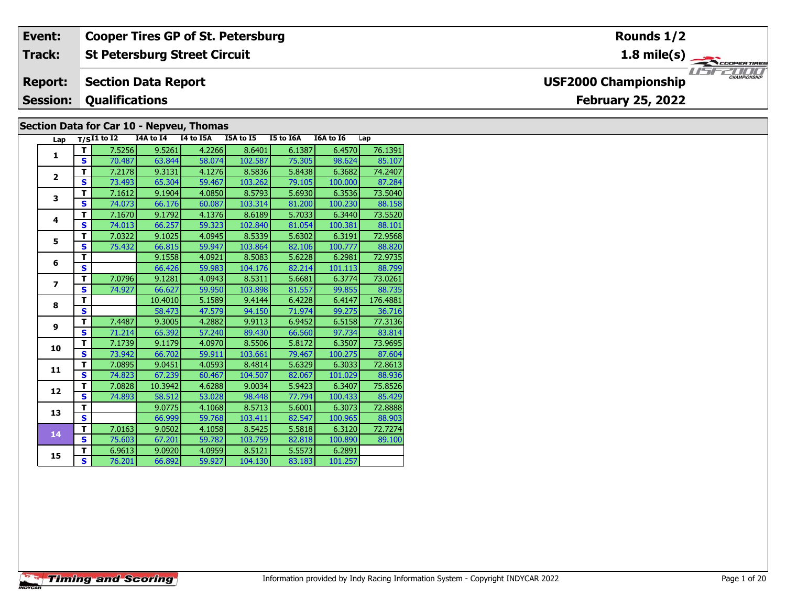#### **Event: Cooper Tires GP of St. Petersburg Rounds 1/21.8 mile(s) St Petersburg Street Circuit Track:** THE PROPERTIRES **Section Data Report Report: USF2000 Championship Qualifications Session:February 25, 2022 Section Data for Car 10 - Nepveu, Thomas**

| Lap                      |                         | $T/SI1$ to I2 I4A to I4 |         | I4 to I5A | I5A to I5 | I5 to I6A | I6A to I6 | Lap      |
|--------------------------|-------------------------|-------------------------|---------|-----------|-----------|-----------|-----------|----------|
| $\mathbf{1}$             | т                       | 7.5256                  | 9.5261  | 4.2266    | 8.6401    | 6.1387    | 6.4570    | 76.1391  |
|                          | $\mathbf{s}$            | 70.487                  | 63.844  | 58.074    | 102.587   | 75.305    | 98.624    | 85.107   |
| $\overline{2}$           | T.                      | 7.2178                  | 9.3131  | 4.1276    | 8.5836    | 5.8438    | 6.3682    | 74.2407  |
|                          | S                       | 73.493                  | 65.304  | 59.467    | 103.262   | 79.105    | 100.000   | 87.284   |
| 3                        | т                       | 7.1612                  | 9.1904  | 4.0850    | 8.5793    | 5.6930    | 6.3536    | 73.5040  |
|                          | S                       | 74.073                  | 66.176  | 60.087    | 103.314   | 81.200    | 100.230   | 88.158   |
| $\overline{\mathbf{4}}$  | T                       | 7.1670                  | 9.1792  | 4.1376    | 8.6189    | 5.7033    | 6.3440    | 73.5520  |
|                          | S                       | 74.013                  | 66.257  | 59.323    | 102.840   | 81.054    | 100.381   | 88.101   |
| 5                        | т                       | 7.0322                  | 9.1025  | 4.0945    | 8.5339    | 5.6302    | 6.3191    | 72.9568  |
|                          | S                       | 75.432                  | 66.815  | 59.947    | 103.864   | 82.106    | 100.777   | 88.820   |
| 6                        | T                       |                         | 9.1558  | 4.0921    | 8.5083    | 5.6228    | 6.2981    | 72.9735  |
|                          | $\mathbf{s}$            |                         | 66.426  | 59.983    | 104.176   | 82.214    | 101.113   | 88.799   |
| $\overline{\phantom{a}}$ | т                       | 7.0796                  | 9.1281  | 4.0943    | 8.5311    | 5.6681    | 6.3774    | 73.0261  |
|                          | S                       | 74.927                  | 66.627  | 59.950    | 103.898   | 81.557    | 99.855    | 88.735   |
| 8                        | т                       |                         | 10.4010 | 5.1589    | 9.4144    | 6.4228    | 6.4147    | 176.4881 |
|                          | S                       |                         | 58.473  | 47.579    | 94.150    | 71.974    | 99.275    | 36.716   |
| 9                        | т                       | 7.4487                  | 9.3005  | 4.2882    | 9.9113    | 6.9452    | 6.5158    | 77.3136  |
|                          | $\mathbf{s}$            | 71.214                  | 65.392  | 57.240    | 89.430    | 66.560    | 97.734    | 83.814   |
| 10                       | T.                      | 7.1739                  | 9.1179  | 4.0970    | 8.5506    | 5.8172    | 6.3507    | 73.9695  |
|                          | S                       | 73.942                  | 66.702  | 59.911    | 103.661   | 79.467    | 100.275   | 87.604   |
| 11                       | т                       | 7.0895                  | 9.0451  | 4.0593    | 8.4814    | 5.6329    | 6.3033    | 72.8613  |
|                          | S                       | 74.823                  | 67.239  | 60.467    | 104.507   | 82.067    | 101.029   | 88.936   |
| 12                       | т                       | 7.0828                  | 10.3942 | 4.6288    | 9.0034    | 5.9423    | 6.3407    | 75.8526  |
|                          | S                       | 74.893                  | 58.512  | 53.028    | 98.448    | 77.794    | 100.433   | 85.429   |
| 13                       | т                       |                         | 9.0775  | 4.1068    | 8.5713    | 5.6001    | 6.3073    | 72.8888  |
|                          | $\mathbf{s}$            |                         | 66.999  | 59.768    | 103.411   | 82.547    | 100.965   | 88.903   |
| 14                       | T.                      | 7.0163                  | 9.0502  | 4.1058    | 8.5425    | 5.5818    | 6.3120    | 72.7274  |
|                          | $\mathbf{s}$            | 75.603                  | 67.201  | 59.782    | 103.759   | 82.818    | 100.890   | 89.100   |
| 15                       | T                       | 6.9613                  | 9.0920  | 4.0959    | 8.5121    | 5.5573    | 6.2891    |          |
|                          | $\overline{\mathbf{s}}$ | 76.201                  | 66.892  | 59.927    | 104.130   | 83.183    | 101.257   |          |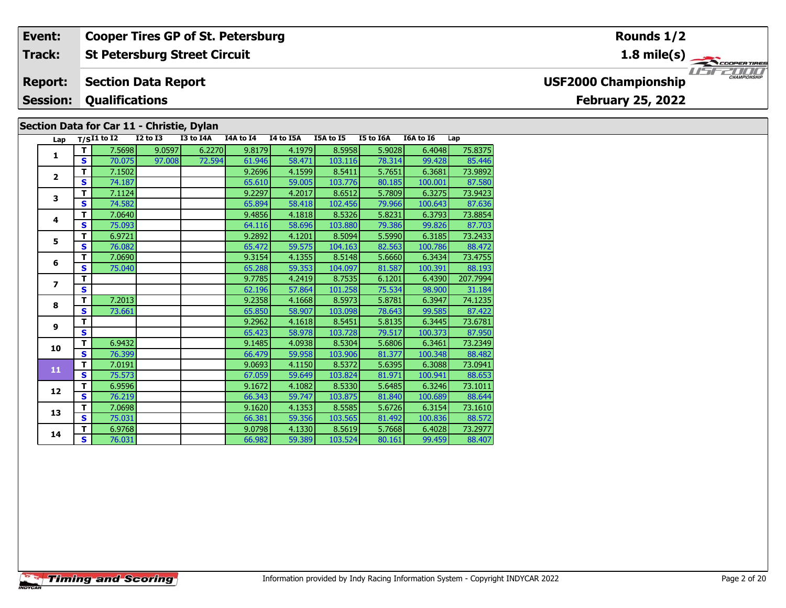#### **Event: Cooper Tires GP of St. Petersburg Rounds 1/21.8 mile(s) St Petersburg Street Circuit Track:** THE COOPERTIRES **Section Data Report USF2000 Championship Report: Qualifications Session:February 25, 2022 Section Data for Car 11 - Christie, Dylan**

| Lap                      |              | $T/SI1$ to $\overline{I2}$ | I2 to I3 | I3 to I4A | I4A to I4 | I4 to I5A | I5A to I5 | I5 to I6A | I6A to I6 | Lap      |
|--------------------------|--------------|----------------------------|----------|-----------|-----------|-----------|-----------|-----------|-----------|----------|
|                          | T            | 7.5698                     | 9.0597   | 6.2270    | 9.8179    | 4.1979    | 8.5958    | 5.9028    | 6.4048    | 75.8375  |
| 1                        | S            | 70.075                     | 97.008   | 72.594    | 61.946    | 58.471    | 103.116   | 78.314    | 99.428    | 85.446   |
| $\overline{\mathbf{2}}$  | т            | 7.1502                     |          |           | 9.2696    | 4.1599    | 8.5411    | 5.7651    | 6.3681    | 73.9892  |
|                          | S            | 74.187                     |          |           | 65.610    | 59.005    | 103.776   | 80.185    | 100.001   | 87.580   |
| 3                        | т            | 7.1124                     |          |           | 9.2297    | 4.2017    | 8.6512    | 5.7809    | 6.3275    | 73.9423  |
|                          | S            | 74.582                     |          |           | 65.894    | 58.418    | 102.456   | 79.966    | 100.643   | 87.636   |
| 4                        | T            | 7.0640                     |          |           | 9.4856    | 4.1818    | 8.5326    | 5.8231    | 6.3793    | 73.8854  |
|                          | S            | 75.093                     |          |           | 64.116    | 58.696    | 103.880   | 79.386    | 99.826    | 87.703   |
| 5                        | T            | 6.9721                     |          |           | 9.2892    | 4.1201    | 8.5094    | 5.5990    | 6.3185    | 73.2433  |
|                          | S            | 76.082                     |          |           | 65.472    | 59.575    | 104.163   | 82.563    | 100.786   | 88.472   |
| 6                        | т            | 7.0690                     |          |           | 9.3154    | 4.1355    | 8.5148    | 5.6660    | 6.3434    | 73.4755  |
|                          | S            | 75.040                     |          |           | 65.288    | 59.353    | 104.097   | 81.587    | 100.391   | 88.193   |
|                          | т            |                            |          |           | 9.7785    | 4.2419    | 8.7535    | 6.1201    | 6.4390    | 207.7994 |
| $\overline{\phantom{a}}$ | S            |                            |          |           | 62.196    | 57.864    | 101.258   | 75.534    | 98.900    | 31.184   |
| 8                        | т            | 7.2013                     |          |           | 9.2358    | 4.1668    | 8.5973    | 5.8781    | 6.3947    | 74.1235  |
|                          | S            | 73.661                     |          |           | 65.850    | 58.907    | 103.098   | 78.643    | 99.585    | 87.422   |
| 9                        | T            |                            |          |           | 9.2962    | 4.1618    | 8.5451    | 5.8135    | 6.3445    | 73.6781  |
|                          | S.           |                            |          |           | 65.423    | 58.978    | 103.728   | 79.517    | 100.373   | 87.950   |
| 10                       | T            | 6.9432                     |          |           | 9.1485    | 4.0938    | 8.5304    | 5.6806    | 6.3461    | 73.2349  |
|                          | S.           | 76.399                     |          |           | 66.479    | 59.958    | 103.906   | 81.377    | 100.348   | 88.482   |
| 11                       | T            | 7.0191                     |          |           | 9.0693    | 4.1150    | 8.5372    | 5.6395    | 6.3088    | 73.0941  |
|                          | S            | 75.573                     |          |           | 67.059    | 59.649    | 103.824   | 81.971    | 100.941   | 88.653   |
| 12                       | T            | 6.9596                     |          |           | 9.1672    | 4.1082    | 8.5330    | 5.6485    | 6.3246    | 73.1011  |
|                          | <b>S</b>     | 76.219                     |          |           | 66.343    | 59.747    | 103.875   | 81.840    | 100.689   | 88.644   |
| 13                       | T            | 7.0698                     |          |           | 9.1620    | 4.1353    | 8.5585    | 5.6726    | 6.3154    | 73.1610  |
|                          | $\mathbf{s}$ | 75.031                     |          |           | 66.381    | 59.356    | 103.565   | 81.492    | 100.836   | 88.572   |
| 14                       | T            | 6.9768                     |          |           | 9.0798    | 4.1330    | 8.5619    | 5.7668    | 6.4028    | 73.2977  |
|                          | S.           | 76.031                     |          |           | 66.982    | 59.389    | 103.524   | 80.161    | 99.459    | 88,407   |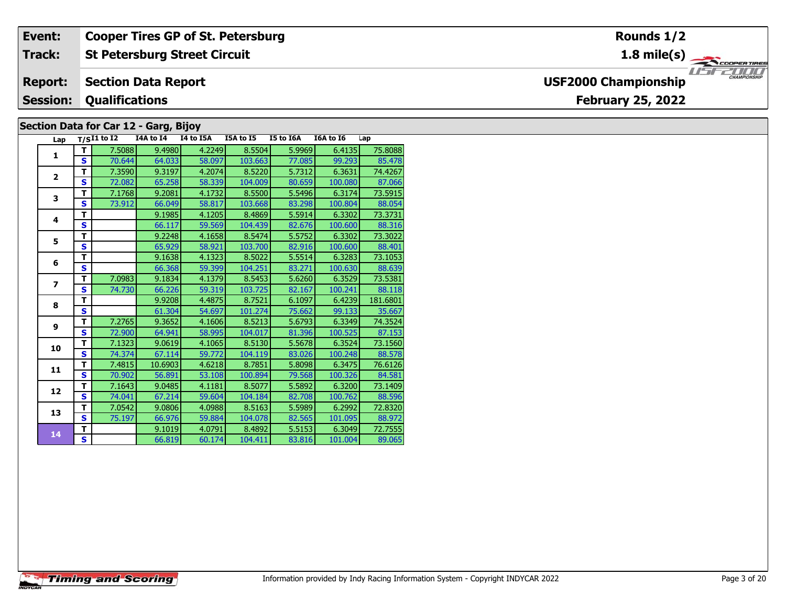#### **Event: Cooper Tires GP of St. Petersburg Rounds 1/2St Petersburg Street Circuit 1.8 mile(s) Track:** THE COOPERTIRES **Section Data Report Report: USF2000 Championship Qualifications Session:February 25, 2022 Section Data for Car 12 - Garg, Bijoy**

| Lap                      |                         | $T/SI1$ to $I2$ | I4A to I4 | I4 to I5A | I5A to I5 | I5 to I6A | I6A to I6 | Lap      |
|--------------------------|-------------------------|-----------------|-----------|-----------|-----------|-----------|-----------|----------|
| $\mathbf{1}$             | т                       | 7.5088          | 9.4980    | 4.2249    | 8.5504    | 5.9969    | 6.4135    | 75.8088  |
|                          | S                       | 70.644          | 64.033    | 58.097    | 103.663   | 77.085    | 99.293    | 85.478   |
| $\overline{2}$           | T                       | 7.3590          | 9.3197    | 4.2074    | 8.5220    | 5.7312    | 6.3631    | 74.4267  |
|                          | S                       | 72.082          | 65.258    | 58.339    | 104.009   | 80.659    | 100.080   | 87.066   |
| 3                        | T                       | 7.1768          | 9.2081    | 4.1732    | 8.5500    | 5.5496    | 6.3174    | 73.5915  |
|                          | $\overline{\mathbf{s}}$ | 73.912          | 66.049    | 58.817    | 103.668   | 83.298    | 100.804   | 88.054   |
| 4                        | T                       |                 | 9.1985    | 4.1205    | 8.4869    | 5.5914    | 6.3302    | 73.3731  |
|                          | S                       |                 | 66.117    | 59.569    | 104.439   | 82.676    | 100.600   | 88.316   |
| 5                        | т                       |                 | 9.2248    | 4.1658    | 8.5474    | 5.5752    | 6.3302    | 73.3022  |
|                          | S                       |                 | 65.929    | 58.921    | 103.700   | 82.916    | 100.600   | 88.401   |
| 6                        | т                       |                 | 9.1638    | 4.1323    | 8.5022    | 5.5514    | 6.3283    | 73.1053  |
|                          | S                       |                 | 66.368    | 59.399    | 104.251   | 83.271    | 100.630   | 88.639   |
| $\overline{\phantom{a}}$ | т                       | 7.0983          | 9.1834    | 4.1379    | 8.5453    | 5.6260    | 6.3529    | 73.5381  |
|                          | S                       | 74.730          | 66.226    | 59.319    | 103.725   | 82.167    | 100.241   | 88.118   |
| 8                        | т                       |                 | 9.9208    | 4.4875    | 8.7521    | 6.1097    | 6.4239    | 181.6801 |
|                          | S                       |                 | 61.304    | 54.697    | 101.274   | 75.662    | 99.133    | 35.667   |
| 9                        | T                       | 7.2765          | 9.3652    | 4.1606    | 8.5213    | 5.6793    | 6.3349    | 74.3524  |
|                          | S                       | 72.900          | 64.941    | 58.995    | 104.017   | 81.396    | 100.525   | 87.153   |
| 10                       | T                       | 7.1323          | 9.0619    | 4.1065    | 8.5130    | 5.5678    | 6.3524    | 73.1560  |
|                          | $\mathbf{s}$            | 74.374          | 67.114    | 59.772    | 104.119   | 83.026    | 100.248   | 88.578   |
| 11                       | T                       | 7.4815          | 10.6903   | 4.6218    | 8.7851    | 5.8098    | 6.3475    | 76.6126  |
|                          | $\mathbf{s}$            | 70.902          | 56.891    | 53.108    | 100.894   | 79.568    | 100.326   | 84.581   |
| 12                       | т                       | 7.1643          | 9.0485    | 4.1181    | 8.5077    | 5.5892    | 6.3200    | 73.1409  |
|                          | $\mathbf{s}$            | 74.041          | 67.214    | 59.604    | 104.184   | 82.708    | 100.762   | 88.596   |
| 13                       | T.                      | 7.0542          | 9.0806    | 4.0988    | 8.5163    | 5.5989    | 6.2992    | 72.8320  |
|                          | S                       | 75.197          | 66.976    | 59.884    | 104.078   | 82.565    | 101.095   | 88.972   |
| 14                       | T                       |                 | 9.1019    | 4.0791    | 8.4892    | 5.5153    | 6.3049    | 72.7555  |
|                          | S                       |                 | 66.819    | 60.174    | 104.411   | 83.816    | 101.004   | 89.065   |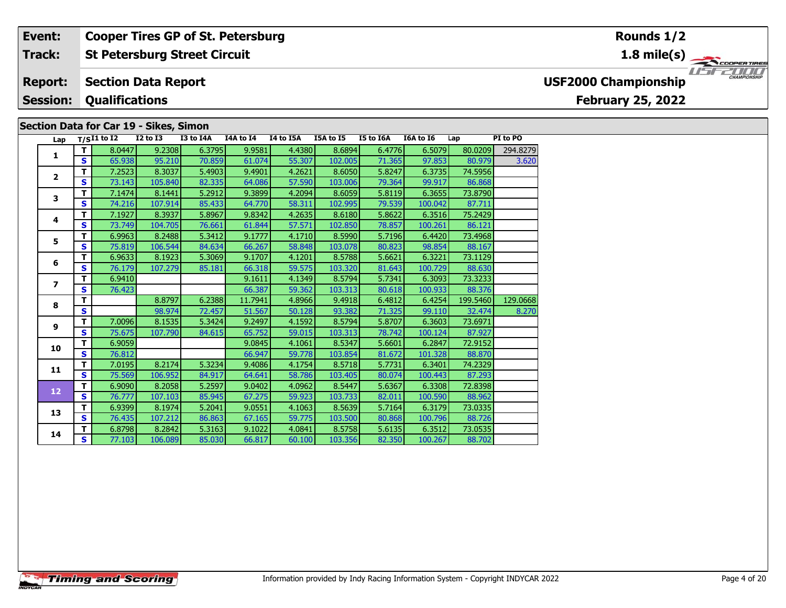#### **St Petersburg Street Circuit Track:**

#### **Section Data Report Report:**

#### **Session:Qualifications**

### **Section Data for Car 19 - Sikes, Simon**

| Lap                     |              | $T/SI1$ to I2 | $I2$ to $I3$ | I3 to I4A | I4A to I4 | I4 to I5A | I5A to I5 | I5 to I6A | I6A to I6 | Lap      | PI to PO |
|-------------------------|--------------|---------------|--------------|-----------|-----------|-----------|-----------|-----------|-----------|----------|----------|
| 1                       | T            | 8.0447        | 9.2308       | 6.3795    | 9.9581    | 4.4380    | 8.6894    | 6.4776    | 6.5079    | 80.0209  | 294.8279 |
|                         | S.           | 65.938        | 95.210       | 70.859    | 61.074    | 55.307    | 102.005   | 71.365    | 97.853    | 80.979   | 3.620    |
| $\mathbf{2}$            | T            | 7.2523        | 8.3037       | 5.4903    | 9.4901    | 4.2621    | 8.6050    | 5.8247    | 6.3735    | 74.5956  |          |
|                         | S            | 73.143        | 105.840      | 82.335    | 64.086    | 57.590    | 103.006   | 79.364    | 99.917    | 86.868   |          |
| 3                       | T            | 7.1474        | 8.1441       | 5.2912    | 9.3899    | 4.2094    | 8.6059    | 5.8119    | 6.3655    | 73.8790  |          |
|                         | S            | 74.216        | 107.914      | 85.433    | 64.770    | 58.311    | 102.995   | 79.539    | 100.042   | 87.711   |          |
| 4                       | т            | 7.1927        | 8.3937       | 5.8967    | 9.8342    | 4.2635    | 8.6180    | 5.8622    | 6.3516    | 75.2429  |          |
|                         | S            | 73.749        | 104.705      | 76.661    | 61.844    | 57.571    | 102.850   | 78.857    | 100.261   | 86.121   |          |
| 5                       | T            | 6.9963        | 8.2488       | 5.3412    | 9.1777    | 4.1710    | 8.5990    | 5.7196    | 6.4420    | 73.4968  |          |
|                         | S            | 75.819        | 106.544      | 84.634    | 66.267    | 58.848    | 103.078   | 80.823    | 98.854    | 88.167   |          |
| 6                       | T            | 6.9633        | 8.1923       | 5.3069    | 9.1707    | 4.1201    | 8.5788    | 5.6621    | 6.3221    | 73.1129  |          |
|                         | $\mathbf{s}$ | 76.179        | 107.279      | 85.181    | 66.318    | 59.575    | 103.320   | 81.643    | 100.729   | 88.630   |          |
| $\overline{\mathbf{z}}$ | T            | 6.9410        |              |           | 9.1611    | 4.1349    | 8.5794    | 5.7341    | 6.3093    | 73.3233  |          |
|                         | S            | 76.423        |              |           | 66.387    | 59.362    | 103.313   | 80.618    | 100.933   | 88.376   |          |
| 8                       | T            |               | 8.8797       | 6.2388    | 11.7941   | 4.8966    | 9.4918    | 6.4812    | 6.4254    | 199.5460 | 129.0668 |
|                         | $\mathbf{s}$ |               | 98.974       | 72.457    | 51.567    | 50.128    | 93.382    | 71.325    | 99.110    | 32.474   | 8.270    |
| 9                       | T            | 7.0096        | 8.1535       | 5.3424    | 9.2497    | 4.1592    | 8.5794    | 5.8707    | 6.3603    | 73.6971  |          |
|                         | S            | 75.675        | 107.790      | 84.615    | 65.752    | 59.015    | 103.313   | 78.742    | 100.124   | 87.927   |          |
| 10                      | T            | 6.9059        |              |           | 9.0845    | 4.1061    | 8.5347    | 5.6601    | 6.2847    | 72.9152  |          |
|                         | S            | 76.812        |              |           | 66.947    | 59.778    | 103.854   | 81.672    | 101.328   | 88.870   |          |
| 11                      | T            | 7.0195        | 8.2174       | 5.3234    | 9.4086    | 4.1754    | 8.5718    | 5.7731    | 6.3401    | 74.2329  |          |
|                         | $\mathbf{s}$ | 75.569        | 106.952      | 84.917    | 64.641    | 58.786    | 103.405   | 80.074    | 100.443   | 87.293   |          |
| 12                      | T            | 6.9090        | 8.2058       | 5.2597    | 9.0402    | 4.0962    | 8.5447    | 5.6367    | 6.3308    | 72.8398  |          |
|                         | S.           | 76.777        | 107.103      | 85.945    | 67.275    | 59.923    | 103.733   | 82.011    | 100.590   | 88.962   |          |
| 13                      | T            | 6.9399        | 8.1974       | 5.2041    | 9.0551    | 4.1063    | 8.5639    | 5.7164    | 6.3179    | 73.0335  |          |
|                         | S            | 76.435        | 107.212      | 86.863    | 67.165    | 59.775    | 103.500   | 80.868    | 100.796   | 88.726   |          |
| 14                      | T            | 6.8798        | 8.2842       | 5.3163    | 9.1022    | 4.0841    | 8.5758    | 5.6135    | 6.3512    | 73.0535  |          |
|                         | S            | 77.103        | 106.089      | 85.030    | 66.817    | 60.100    | 103.356   | 82.350    | 100.267   | 88.702   |          |



**1.8 mile(s)**



# **USF2000 Championship**

# **February 25, 2022**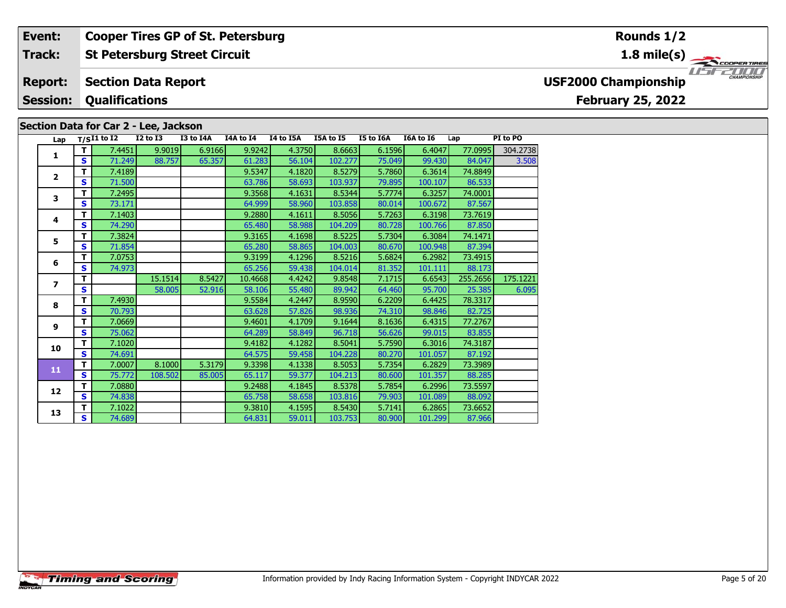#### **St Petersburg Street Circuit Track:**

#### **Section Data Report Report:**

#### **Session:Qualifications**

### **Section Data for Car 2 - Lee, Jackson**

| Lap            |              | $T/SI1$ to $I2$ | I2 to I3 | I3 to I4A | I4A to I4 | I4 to I5A | I5A to I5 | I5 to I6A | I6A to I6 | Lap      | PI to PO |
|----------------|--------------|-----------------|----------|-----------|-----------|-----------|-----------|-----------|-----------|----------|----------|
|                | т            | 7.4451          | 9.9019   | 6.9166    | 9.9242    | 4.3750    | 8.6663    | 6.1596    | 6.4047    | 77.0995  | 304.2738 |
| 1              | S            | 71.249          | 88.757   | 65.357    | 61.283    | 56.104    | 102.277   | 75.049    | 99.430    | 84.047   | 3.508    |
| $\overline{2}$ | т            | 7.4189          |          |           | 9.5347    | 4.1820    | 8.5279    | 5.7860    | 6.3614    | 74.8849  |          |
|                | $\mathbf{s}$ | 71.500          |          |           | 63.786    | 58.693    | 103.937   | 79.895    | 100.107   | 86.533   |          |
| 3              | т            | 7.2495          |          |           | 9.3568    | 4.1631    | 8.5344    | 5.7774    | 6.3257    | 74.0001  |          |
|                | S            | 73.171          |          |           | 64.999    | 58.960    | 103.858   | 80.014    | 100.672   | 87.567   |          |
| 4              | т            | 7.1403          |          |           | 9.2880    | 4.1611    | 8.5056    | 5.7263    | 6.3198    | 73.7619  |          |
|                | S            | 74.290          |          |           | 65.480    | 58.988    | 104.209   | 80.728    | 100.766   | 87.850   |          |
| 5              | т            | 7.3824          |          |           | 9.3165    | 4.1698    | 8.5225    | 5.7304    | 6.3084    | 74.1471  |          |
|                | S            | 71.854          |          |           | 65.280    | 58.865    | 104.003   | 80.670    | 100.948   | 87.394   |          |
| 6              | т            | 7.0753          |          |           | 9.3199    | 4.1296    | 8.5216    | 5.6824    | 6.2982    | 73.4915  |          |
|                | S            | 74.973          |          |           | 65.256    | 59.438    | 104.014   | 81.352    | 101.111   | 88.173   |          |
| 7              | т            |                 | 15.1514  | 8.5427    | 10.4668   | 4.4242    | 9.8548    | 7.1715    | 6.6543    | 255.2656 | 175.1221 |
|                | S            |                 | 58.005   | 52.916    | 58.106    | 55.480    | 89.942    | 64.460    | 95.700    | 25.385   | 6.095    |
| 8              | т            | 7.4930          |          |           | 9.5584    | 4.2447    | 8.9590    | 6.2209    | 6.4425    | 78.3317  |          |
|                | S            | 70.793          |          |           | 63.628    | 57.826    | 98.936    | 74.310    | 98.846    | 82.725   |          |
| 9              | т            | 7.0669          |          |           | 9.4601    | 4.1709    | 9.1644    | 8.1636    | 6.4315    | 77.2767  |          |
|                | S            | 75.062          |          |           | 64.289    | 58.849    | 96.718    | 56.626    | 99.015    | 83.855   |          |
| 10             | т            | 7.1020          |          |           | 9.4182    | 4.1282    | 8.5041    | 5.7590    | 6.3016    | 74.3187  |          |
|                | S            | 74.691          |          |           | 64.575    | 59.458    | 104.228   | 80.270    | 101.057   | 87.192   |          |
| 11             | т            | 7.0007          | 8.1000   | 5.3179    | 9.3398    | 4.1338    | 8.5053    | 5.7354    | 6.2829    | 73.3989  |          |
|                | S            | 75.772          | 108.502  | 85.005    | 65.117    | 59.377    | 104.213   | 80.600    | 101.357   | 88.285   |          |
| 12             | т            | 7.0880          |          |           | 9.2488    | 4.1845    | 8.5378    | 5.7854    | 6.2996    | 73.5597  |          |
|                | S            | 74.838          |          |           | 65.758    | 58.658    | 103.816   | 79.903    | 101.089   | 88.092   |          |
| 13             | т            | 7.1022          |          |           | 9.3810    | 4.1595    | 8.5430    | 5.7141    | 6.2865    | 73.6652  |          |
|                | S            | 74.689          |          |           | 64.831    | 59.011    | 103.753   | 80.900    | 101.299   | 87.966   |          |

# **Rounds 1/2**

**1.8 mile(s)**



# **USF2000 Championship**

## **February 25, 2022**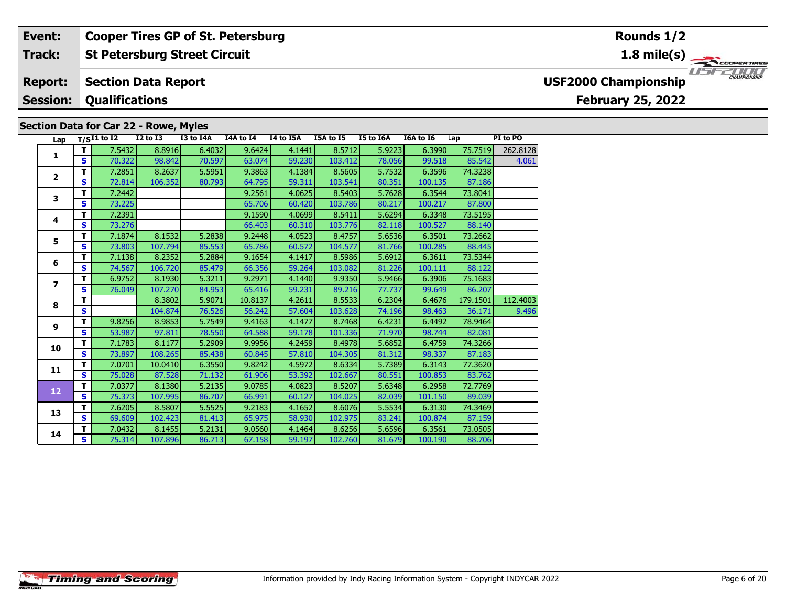#### **St Petersburg Street Circuit Track:**

#### **Section Data Report Report:**

#### **Session:Qualifications**

### **Section Data for Car 22 - Rowe, Myles**

|  | Lap |              | $T/SI1$ to $I2$ | <b>I2 to I3</b> | I3 to I4A | I4A to I4 | I4 to I5A | I5A to I5 | I5 to I6A | <b>I6A to 16</b> | Lap      | PI to PO |
|--|-----|--------------|-----------------|-----------------|-----------|-----------|-----------|-----------|-----------|------------------|----------|----------|
|  |     | т            | 7.5432          | 8.8916          | 6.4032    | 9.6424    | 4.1441    | 8.5712    | 5.9223    | 6.3990           | 75.7519  | 262.8128 |
|  | 1   | $\mathbf{s}$ | 70.322          | 98.842          | 70.597    | 63.074    | 59.230    | 103.412   | 78.056    | 99.518           | 85.542   | 4.061    |
|  |     | т            | 7.2851          | 8.2637          | 5.5951    | 9.3863    | 4.1384    | 8.5605    | 5.7532    | 6.3596           | 74.3238  |          |
|  | 2   | S            | 72.814          | 106.352         | 80.793    | 64.795    | 59.311    | 103.541   | 80.351    | 100.135          | 87.186   |          |
|  | 3   | т            | 7.2442          |                 |           | 9.2561    | 4.0625    | 8.5403    | 5.7628    | 6.3544           | 73.8041  |          |
|  |     | S            | 73.225          |                 |           | 65.706    | 60.420    | 103.786   | 80.217    | 100.217          | 87.800   |          |
|  |     | т            | 7.2391          |                 |           | 9.1590    | 4.0699    | 8.5411    | 5.6294    | 6.3348           | 73.5195  |          |
|  | 4   | $\mathbf{s}$ | 73.276          |                 |           | 66.403    | 60.310    | 103.776   | 82.118    | 100.527          | 88.140   |          |
|  | 5   | т            | 7.1874          | 8.1532          | 5.2838    | 9.2448    | 4.0523    | 8.4757    | 5.6536    | 6.3501           | 73.2662  |          |
|  |     | S            | 73.803          | 107.794         | 85.553    | 65.786    | 60.572    | 104.577   | 81.766    | 100.285          | 88.445   |          |
|  | 6   | т            | 7.1138          | 8.2352          | 5.2884    | 9.1654    | 4.1417    | 8.5986    | 5.6912    | 6.3611           | 73.5344  |          |
|  |     | S            | 74.567          | 106.720         | 85.479    | 66.356    | 59.264    | 103.082   | 81.226    | 100.111          | 88.122   |          |
|  | 7   | т            | 6.9752          | 8.1930          | 5.3211    | 9.2971    | 4.1440    | 9.9350    | 5.9466    | 6.3906           | 75.1683  |          |
|  |     | S            | 76.049          | 107.270         | 84.953    | 65.416    | 59.231    | 89.216    | 77.737    | 99.649           | 86.207   |          |
|  | 8   | т            |                 | 8.3802          | 5.9071    | 10.8137   | 4.2611    | 8.5533    | 6.2304    | 6.4676           | 179.1501 | 112.4003 |
|  |     | s            |                 | 104.874         | 76.526    | 56.242    | 57.604    | 103.628   | 74.196    | 98.463           | 36.171   | 9.496    |
|  | 9   | T            | 9.8256          | 8.9853          | 5.7549    | 9.4163    | 4.1477    | 8.7468    | 6.4231    | 6.4492           | 78.9464  |          |
|  |     | $\mathbf{s}$ | 53.987          | 97.811          | 78.550    | 64.588    | 59.178    | 101.336   | 71.970    | 98.744           | 82.081   |          |
|  | 10  | T            | 7.1783          | 8.1177          | 5.2909    | 9.9956    | 4.2459    | 8.4978    | 5.6852    | 6.4759           | 74.3266  |          |
|  |     | $\mathbf{s}$ | 73.897          | 108.265         | 85.438    | 60.845    | 57.810    | 104.305   | 81.312    | 98.337           | 87.183   |          |
|  | 11  | т            | 7.0701          | 10.0410         | 6.3550    | 9.8242    | 4.5972    | 8.6334    | 5.7389    | 6.3143           | 77.3620  |          |
|  |     | S            | 75.028          | 87.528          | 71.132    | 61.906    | 53.392    | 102.667   | 80.551    | 100.853          | 83.762   |          |
|  | 12  | т            | 7.0377          | 8.1380          | 5.2135    | 9.0785    | 4.0823    | 8.5207    | 5.6348    | 6.2958           | 72.7769  |          |
|  |     | $\mathbf{s}$ | 75.373          | 107.995         | 86.707    | 66.991    | 60.127    | 104.025   | 82.039    | 101.150          | 89.039   |          |
|  | 13  | т            | 7.6205          | 8.5807          | 5.5525    | 9.2183    | 4.1652    | 8.6076    | 5.5534    | 6.3130           | 74.3469  |          |
|  |     | S            | 69.609          | 102.423         | 81.413    | 65.975    | 58.930    | 102.975   | 83.241    | 100.874          | 87.159   |          |
|  | 14  | т            | 7.0432          | 8.1455          | 5.2131    | 9.0560    | 4.1464    | 8.6256    | 5.6596    | 6.3561           | 73.0505  |          |
|  |     | S            | 75.314          | 107.896         | 86.713    | 67.158    | 59.197    | 102.760   | 81.679    | 100.190          | 88.706   |          |

# **Rounds 1/2**

**1.8 mile(s)**



# **USF2000 Championship**

# **February 25, 2022**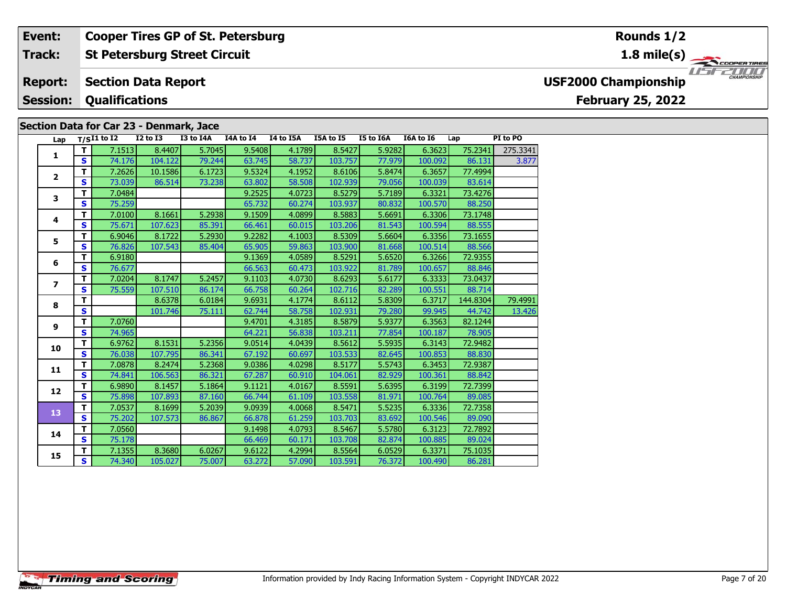#### **St Petersburg Street Circuit Track:**

#### **Section Data Report Report:**

**Session:Qualifications**

## **Section Data for Car 23 - Denmark, Jace**

|  | Lap                           |              | $T/SI1$ to $I2$ | <b>I2 to I3</b> | I3 to I4A | I4A to I4 | I4 to I5A | I5A to I5 | I5 to I6A | I6A to I6 | Lap      | PI to PO |
|--|-------------------------------|--------------|-----------------|-----------------|-----------|-----------|-----------|-----------|-----------|-----------|----------|----------|
|  |                               | T            | 7.1513          | 8.4407          | 5.7045    | 9.5408    | 4.1789    | 8.5427    | 5.9282    | 6.3623    | 75.2341  | 275.3341 |
|  | 1                             | $\mathbf{s}$ | 74.176          | 104.122         | 79.244    | 63.745    | 58.737    | 103.757   | 77.979    | 100.092   | 86.131   | 3.877    |
|  | $\overline{2}$<br>3<br>4<br>5 | т            | 7.2626          | 10.1586         | 6.1723    | 9.5324    | 4.1952    | 8.6106    | 5.8474    | 6.3657    | 77.4994  |          |
|  |                               | $\mathbf{s}$ | 73.039          | 86.514          | 73.238    | 63.802    | 58.508    | 102.939   | 79.056    | 100.039   | 83.614   |          |
|  |                               | т            | 7.0484          |                 |           | 9.2525    | 4.0723    | 8.5279    | 5.7189    | 6.3321    | 73.4276  |          |
|  |                               | S            | 75.259          |                 |           | 65.732    | 60.274    | 103.937   | 80.832    | 100.570   | 88.250   |          |
|  |                               | т            | 7.0100          | 8.1661          | 5.2938    | 9.1509    | 4.0899    | 8.5883    | 5.6691    | 6.3306    | 73.1748  |          |
|  |                               | $\mathbf{s}$ | 75.671          | 107.623         | 85.391    | 66.461    | 60.015    | 103.206   | 81.543    | 100.594   | 88.555   |          |
|  |                               | T.           | 6.9046          | 8.1722          | 5.2930    | 9.2282    | 4.1003    | 8.5309    | 5.6604    | 6.3356    | 73.1655  |          |
|  |                               | $\mathbf{s}$ | 76.826          | 107.543         | 85.404    | 65.905    | 59.863    | 103.900   | 81.668    | 100.514   | 88.566   |          |
|  | 6                             | т            | 6.9180          |                 |           | 9.1369    | 4.0589    | 8.5291    | 5.6520    | 6.3266    | 72.9355  |          |
|  |                               | S            | 76.677          |                 |           | 66.563    | 60.473    | 103.922   | 81.789    | 100.657   | 88.846   |          |
|  |                               | т            | 7.0204          | 8.1747          | 5.2457    | 9.1103    | 4.0730    | 8.6293    | 5.6177    | 6.3333    | 73.0437  |          |
|  |                               | $\mathbf{s}$ | 75.559          | 107.510         | 86.174    | 66.758    | 60.264    | 102.716   | 82.289    | 100.551   | 88.714   |          |
|  |                               | т            |                 | 8.6378          | 6.0184    | 9.6931    | 4.1774    | 8.6112    | 5.8309    | 6.3717    | 144.8304 | 79.4991  |
|  | $\overline{\phantom{a}}$<br>8 | S            |                 | 101.746         | 75.111    | 62.744    | 58.758    | 102.931   | 79.280    | 99.945    | 44.742   | 13.426   |
|  | 9                             | T            | 7.0760          |                 |           | 9.4701    | 4.3185    | 8.5879    | 5.9377    | 6.3563    | 82.1244  |          |
|  |                               | $\mathbf{s}$ | 74.965          |                 |           | 64.221    | 56.838    | 103.211   | 77.854    | 100.187   | 78.905   |          |
|  | 10                            | T            | 6.9762          | 8.1531          | 5.2356    | 9.0514    | 4.0439    | 8.5612    | 5.5935    | 6.3143    | 72.9482  |          |
|  |                               | S            | 76.038          | 107.795         | 86.341    | 67.192    | 60.697    | 103.533   | 82.645    | 100.853   | 88.830   |          |
|  | 11                            | T            | 7.0878          | 8.2474          | 5.2368    | 9.0386    | 4.0298    | 8.5177    | 5.5743    | 6.3453    | 72.9387  |          |
|  |                               | $\mathbf{s}$ | 74.841          | 106.563         | 86.321    | 67.287    | 60.910    | 104.061   | 82.929    | 100.361   | 88.842   |          |
|  | 12                            | T            | 6.9890          | 8.1457          | 5.1864    | 9.1121    | 4.0167    | 8.5591    | 5.6395    | 6.3199    | 72.7399  |          |
|  |                               | $\mathbf{s}$ | 75.898          | 107.893         | 87.160    | 66.744    | 61.109    | 103.558   | 81.971    | 100.764   | 89.085   |          |
|  | 13                            | T            | 7.0537          | 8.1699          | 5.2039    | 9.0939    | 4.0068    | 8.5471    | 5.5235    | 6.3336    | 72.7358  |          |
|  |                               | $\mathbf{s}$ | 75.202          | 107.573         | 86.867    | 66.878    | 61.259    | 103.703   | 83.692    | 100.546   | 89.090   |          |
|  | 14                            | т            | 7.0560          |                 |           | 9.1498    | 4.0793    | 8.5467    | 5.5780    | 6.3123    | 72.7892  |          |
|  |                               | $\mathbf{s}$ | 75.178          |                 |           | 66.469    | 60.171    | 103.708   | 82.874    | 100.885   | 89.024   |          |
|  | 15                            | T            | 7.1355          | 8.3680          | 6.0267    | 9.6122    | 4.2994    | 8.5564    | 6.0529    | 6.3371    | 75.1035  |          |
|  |                               | <b>S</b>     | 74.340          | 105.027         | 75.007    | 63.272    | 57.090    | 103.591   | 76.372    | 100.490   | 86.281   |          |

**Rounds 1/2**

**1.8 mile(s)**



# **USF2000 Championship**

**February 25, 2022**

**Timing and Scoring**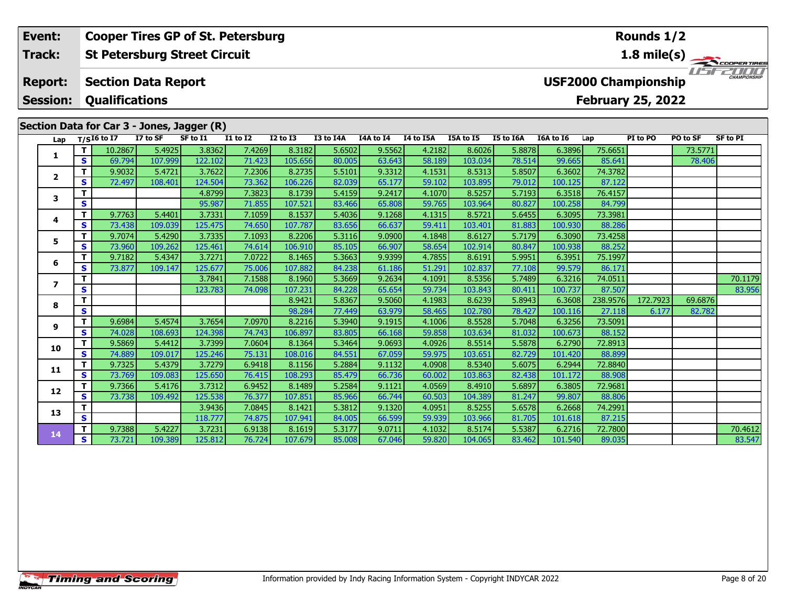#### **Event: Cooper Tires GP of St. Petersburg Rounds 1/2St Petersburg Street Circuit 1.8 mile(s) Track:**11515211111 **Report: Section Data Report USF2000 Championship Session: Qualifications February 25, 2022 Section Data for Car 3 - Jones, Jagger (R)**<br>Lap  $\frac{T}{(516 \text{ to } 17)}$   $\frac{17 \text{ to } 5F}{(7516 \text{ to } 17)}$ **Lap T/SI6 to I7 I7 to SF SF to I1 I1 to I2 I2 to I3 I3 to I4A I4A to I4 I4 to I5A I5A to I5 I5 to I6A I6A to I6 Lap PI to PO PO to SF SF to PI <sup>T</sup>** 10.2867 5.4925 3.8362 7.4269 8.3182 5.6502 9.5562 4.2182 8.6026 5.8878 6.3896 75.6651 73.5771 **<sup>S</sup>** 69.794 107.999 122.102 71.423 105.656 80.005 63.643 58.189 103.034 78.514 99.665 85.641 78.406**1**

**<sup>T</sup>** 3.7841 7.1588 8.1960 5.3669 9.2634 4.1091 8.5356 5.7489 6.3216 74.0511 70.1179 **<sup>S</sup>** 123.783 74.098 107.231 84.228 65.654 59.734 103.843 80.411 100.737 87.507 83.956

**<sup>T</sup>** 9.7388 5.4227 3.7231 6.9138 8.1619 5.3177 9.0711 4.1032 8.5174 5.5387 6.2716 72.7800 70.4612 **<sup>S</sup>** 73.721 109.389 125.812 76.724 107.679 85.008 67.046 59.820 104.065 83.462 101.540 89.035 83.547

**<sup>T</sup>** 8.9421 5.8367 9.5060 4.1983 8.6239 5.8943 6.3608 238.9576 172.7923 69.6876 **<sup>S</sup>** 98.284 77.449 63.979 58.465 102.780 78.427 100.116 27.118 6.177 82.782

**<sup>T</sup>** 9.9032 5.4721 3.7622 7.2306 8.2735 5.5101 9.3312 4.1531 8.5313 5.8507 6.3602 74.3782 **<sup>S</sup>** 72.497 108.401 124.504 73.362 106.226 82.039 65.177 59.102 103.895 79.012 100.125 87.122

**<sup>T</sup>** 4.8799 7.3823 8.1739 5.4159 9.2417 4.1070 8.5257 5.7193 6.3518 76.4157 **<sup>S</sup>** 95.987 71.855 107.521 83.466 65.808 59.765 103.964 80.827 100.258 84.799

**<sup>T</sup>** 9.7763 5.4401 3.7331 7.1059 8.1537 5.4036 9.1268 4.1315 8.5721 5.6455 6.3095 73.3981 **<sup>S</sup>** 73.438 109.039 125.475 74.650 107.787 83.656 66.637 59.411 103.401 81.883 100.930 88.286

**<sup>T</sup>** 9.7074 5.4290 3.7335 7.1093 8.2206 5.3116 9.0900 4.1848 8.6127 5.7179 6.3090 73.4258 **<sup>S</sup>** 73.960 109.262 125.461 74.614 106.910 85.105 66.907 58.654 102.914 80.847 100.938 88.252

**<sup>T</sup>** 9.7182 5.4347 3.7271 7.0722 8.1465 5.3663 9.9399 4.7855 8.6191 5.9951 6.3951 75.1997 **<sup>S</sup>** 73.877 109.147 125.677 75.006 107.882 84.238 61.186 51.291 102.837 77.108 99.579 86.171

**<sup>T</sup>** 9.6984 5.4574 3.7654 7.0970 8.2216 5.3940 9.1915 4.1006 8.5528 5.7048 6.3256 73.5091 **<sup>S</sup>** 74.028 108.693 124.398 74.743 106.897 83.805 66.168 59.858 103.634 81.032 100.673 88.152

**<sup>T</sup>** 9.5869 5.4412 3.7399 7.0604 8.1364 5.3464 9.0693 4.0926 8.5514 5.5878 6.2790 72.8913 **<sup>S</sup>** 74.889 109.017 125.246 75.131 108.016 84.551 67.059 59.975 103.651 82.729 101.420 88.899

**<sup>T</sup>** 9.7325 5.4379 3.7279 6.9418 8.1156 5.2884 9.1132 4.0908 8.5340 5.6075 6.2944 72.8840 **<sup>S</sup>** 73.769 109.083 125.650 76.415 108.293 85.479 66.736 60.002 103.863 82.438 101.172 88.908

**<sup>T</sup>** 9.7366 5.4176 3.7312 6.9452 8.1489 5.2584 9.1121 4.0569 8.4910 5.6897 6.3805 72.9681 **<sup>S</sup>** 73.738 109.492 125.538 76.377 107.851 85.966 66.744 60.503 104.389 81.247 99.807 88.806

**<sup>T</sup>** 3.9436 7.0845 8.1421 5.3812 9.1320 4.0951 8.5255 5.6578 6.2668 74.2991 **<sup>S</sup>** 118.777 74.875 107.941 84.005 66.599 59.939 103.966 81.705 101.618 87.215

**2**

**3**

**4**

**5**

**6**

**7**

**8**

**9**

**10**

**11**

**12**

**13**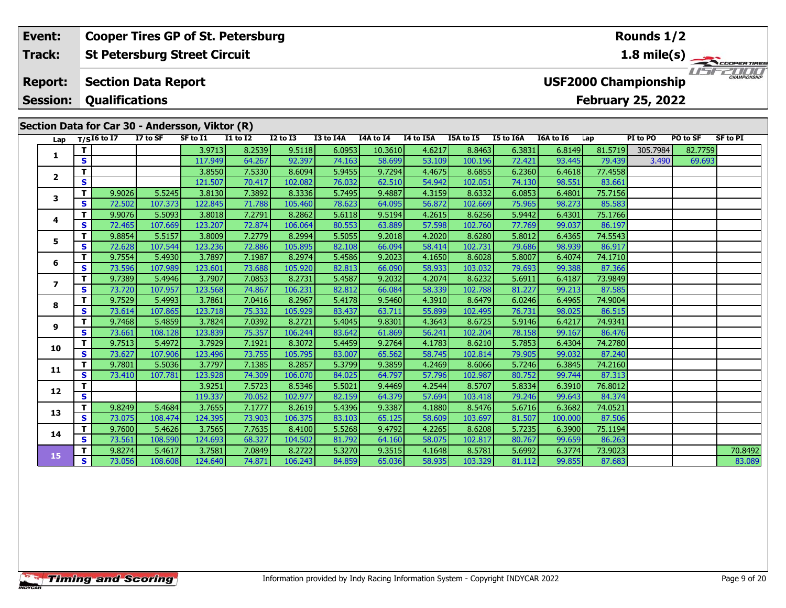#### **Event: Cooper Tires GP of St. Petersburg Rounds 1/2St Petersburg Street Circuit 1.8 mile(s) Track:** USFZOOD **Report: Section Data Report USF2000 Championship Qualifications Session:February 25, 2022**

|                  |          |               |                   | Section Data for Car 30 - Andersson, Viktor (R) |                  |                   |                  |                  |                  |                   |                  |                  |                   |          |          |                 |
|------------------|----------|---------------|-------------------|-------------------------------------------------|------------------|-------------------|------------------|------------------|------------------|-------------------|------------------|------------------|-------------------|----------|----------|-----------------|
| Lap              |          | $T/SI6$ to I7 | I7 to SF          | SF to I1                                        | <b>I1 to I2</b>  | $I2$ to $I3$      | I3 to I4A        | I4A to I4        | I4 to I5A        | I5A to I5         | I5 to I6A        | I6A to I6        | Lap               | PI to PO | PO to SF | <b>SF to PI</b> |
| 1                | T.       |               |                   | 3.9713                                          | 8.2539           | 9.5118            | 6.0953           | 10.3610          | 4.6217           | 8.8463            | 6.3831           | 6.8149           | 81.5719           | 305.7984 | 82.7759  |                 |
|                  | S        |               |                   | 117.949                                         | 64.267           | 92.397            | 74.163           | 58.699           | 53.109           | 100.196           | 72.421           | 93.445           | 79.439            | 3.490    | 69.693   |                 |
| $\mathbf{2}$     | T.       |               |                   | 3.8550                                          | 7.5330           | 8.6094            | 5.9455           | 9.7294           | 4.4675           | 8.6855            | 6.2360           | 6.4618           | 77.4558           |          |          |                 |
|                  | S        |               |                   | 121.507                                         | 70.417           | 102.082           | 76.032           | 62.510           | 54.942           | 102.051           | 74.130           | 98.551           | 83.661            |          |          |                 |
| 3                | T.       | 9.9026        | 5.5245            | 3.8130                                          | 7.3892           | 8.3336            | 5.7495           | 9.4887           | 4.3159           | 8.6332            | 6.0853           | 6.4801           | 75.7156           |          |          |                 |
|                  | S        | 72.502        | 107.373           | 122.845                                         | 71.788           | 105.460           | 78.623           | 64.095           | 56.872           | 102.669           | 75.965           | 98.273           | 85.583            |          |          |                 |
| 4                | T.       | 9.9076        | 5.5093            | 3.8018                                          | 7.2791           | 8.2862            | 5.6118           | 9.5194           | 4.2615           | 8.6256            | 5.9442           | 6.4301           | 75.1766           |          |          |                 |
|                  | S.       | 72.465        | 107.669           | 123.207                                         | 72.874           | 106.064           | 80.553           | 63.889           | 57.598           | 102.760           | 77.769           | 99.037           | 86.197            |          |          |                 |
| 5                | T.       | 9.8854        | 5.5157            | 3.8009                                          | 7.2779           | 8.2994            | 5.5055           | 9.2018           | 4.2020           | 8.6280            | 5.8012           | 6.4365           | 74.5543           |          |          |                 |
|                  | <b>S</b> | 72.628        | 107.544           | 123.236                                         | 72.886           | 105.895           | 82.108           | 66.094           | 58.414           | 102.731           | 79.686           | 98.939           | 86.917            |          |          |                 |
| 6                | T.       | 9.7554        | 5.4930            | 3.7897                                          | 7.1987           | 8.2974            | 5.4586           | 9.2023           | 4.1650           | 8.6028            | 5.8007           | 6.4074           | 74.1710           |          |          |                 |
|                  | S        | 73.596        | 107.989           | 123.601                                         | 73.688           | 105.920           | 82.813           | 66.090           | 58.933           | 103.032           | 79.693           | 99.388           | 87.366            |          |          |                 |
| $\boldsymbol{7}$ | T.       | 9.7389        | 5.4946            | 3.7907                                          | 7.0853           | 8.2731            | 5.4587           | 9.2032           | 4.2074           | 8.6232            | 5.6911           | 6.4187           | 73.9849           |          |          |                 |
|                  | S        | 73.720        | 107.957           | 123.568                                         | 74.867           | 106.231           | 82.812           | 66.084           | 58.339           | 102.788           | 81.227           | 99.213           | 87.585            |          |          |                 |
| 8                | T.       | 9.7529        | 5.4993            | 3.7861                                          | 7.0416           | 8.2967            | 5.4178           | 9.5460           | 4.3910           | 8.6479            | 6.0246           | 6.4965           | 74.9004           |          |          |                 |
|                  | S.       | 73.614        | 107.865           | 123.718                                         | 75.332           | 105.929           | 83.437           | 63.711           | 55.899           | 102.495           | 76.731           | 98.025           | 86.515            |          |          |                 |
| 9                | T.       | 9.7468        | 5.4859            | 3.7824                                          | 7.0392           | 8.2721            | 5.4045           | 9.8301           | 4.3643           | 8.6725            | 5.9146           | 6.4217           | 74.9341           |          |          |                 |
|                  | S        | 73.661        | 108.128           | 123.839                                         | 75.357           | 106.244           | 83.642           | 61.869           | 56.241           | 102.204           | 78.158           | 99.167           | 86.476            |          |          |                 |
| 10               | T.       | 9.7513        | 5.4972            | 3.7929                                          | 7.1921           | 8.3072            | 5.4459           | 9.2764           | 4.1783           | 8.6210            | 5.7853           | 6.4304           | 74.2780           |          |          |                 |
|                  | S.       | 73.627        | 107.906           | 123.496                                         | 73.755           | 105.795           | 83.007           | 65.562           | 58.745           | 102.814           | 79.905           | 99.032           | 87.240            |          |          |                 |
| 11               | T.<br>S. | 9.7801        | 5.5036<br>107.781 | 3.7797<br>123.928                               | 7.1385<br>74.309 | 8.2857<br>106.070 | 5.3799<br>84.025 | 9.3859<br>64.797 | 4.2469<br>57.796 | 8.6066            | 5.7246<br>80.752 | 6.3845<br>99.744 | 74.2160<br>87.313 |          |          |                 |
|                  | T.       | 73.410        |                   | 3.9251                                          | 7.5723           | 8.5346            | 5.5021           | 9.4469           | 4.2544           | 102.987<br>8.5707 | 5.8334           | 6.3910           | 76.8012           |          |          |                 |
| 12               | S        |               |                   | 119.337                                         | 70.052           | 102.977           |                  | 64.379           | 57.694           | 103.418           |                  | 99.643           | 84.374            |          |          |                 |
|                  | T.       | 9.8249        | 5.4684            | 3.7655                                          | 7.1777           | 8.2619            | 82.159<br>5.4396 | 9.3387           | 4.1880           | 8.5476            | 79.246<br>5.6716 | 6.3682           | 74.0521           |          |          |                 |
| 13               | S        | 73.075        | 108.474           | 124.395                                         | 73.903           | 106.375           | 83.103           | 65.125           | 58.609           | 103.697           | 81.507           | 100.000          | 87.506            |          |          |                 |
|                  | T.       | 9.7600        | 5.4626            | 3.7565                                          | 7.7635           | 8.4100            | 5.5268           | 9.4792           | 4.2265           | 8.6208            | 5.7235           | 6.3900           | 75.1194           |          |          |                 |
| 14               | S.       | 73.561        | 108.590           | 124.693                                         | 68.327           | 104.502           | 81.792           | 64.160           | 58.075           | 102.817           | 80.767           | 99.659           | 86.263            |          |          |                 |
|                  | T.       | 9.8274        | 5.4617            | 3.7581                                          | 7.0849           | 8.2722            | 5.3270           | 9.3515           | 4.1648           | 8.5781            | 5.6992           | 6.3774           | 73.9023           |          |          | 70.8492         |
| 15               | S.       | 73.056        | 108.608           | 124.640                                         | 74.871           | 106.243           | 84.859           | 65.036           | 58.935           | 103.329           | 81.112           | 99.855           | 87.683            |          |          | 83.089          |

ER TIRES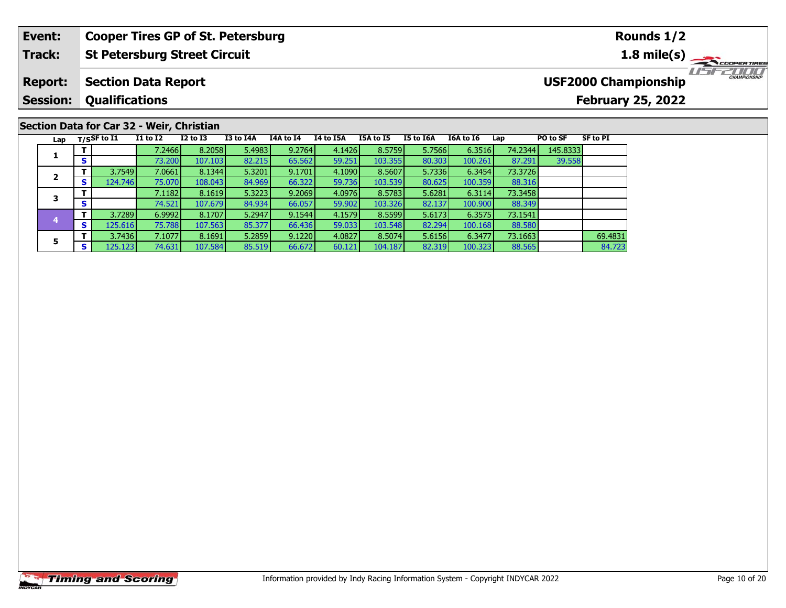#### **Event: Cooper Tires GP of St. Petersburg Rounds 1/2St Petersburg Street Circuit 1.8 mile(s) Track:** USFZOOD **Section Data Report Report: USF2000 Championship Session: Qualifications February 25, 2022**

|     |            |                  | Section Data for Car 32 - Weir, Christian |              |           |           |           |           |           |           |         |          |                 |
|-----|------------|------------------|-------------------------------------------|--------------|-----------|-----------|-----------|-----------|-----------|-----------|---------|----------|-----------------|
| Lap |            | $T/S$ SF to $I1$ | <b>I1 to I2</b>                           | $I2$ to $I3$ | I3 to I4A | I4A to I4 | I4 to I5A | I5A to I5 | I5 to I6A | I6A to I6 | Lap     | PO to SF | <b>SF to PI</b> |
|     |            |                  | 7.2466                                    | 8.2058       | 5.4983    | 9.2764    | 4.1426    | 8.5759    | 5.7566    | 6.3516    | 74.2344 | 145.8333 |                 |
|     | $\epsilon$ |                  | 73.200                                    | 107.103      | 82.215    | 65.562    | 59.251    | 103.355   | 80.303    | 100.261   | 87.291  | 39.558   |                 |
|     |            | 3.7549           | 7.0661                                    | 8.1344       | 5.3201    | 9.1701    | 4.1090    | 8.5607    | 5.7336    | 6.3454    | 73.3726 |          |                 |
|     | S.         | 124.746          | 75.070                                    | 108.043      | 84.969    | 66.322    | 59.736    | 103.539   | 80.625    | 100.359   | 88.316  |          |                 |
|     |            |                  | 7.1182                                    | 8.1619       | 5.3223    | 9.2069    | 4.0976    | 8.5783    | 5.6281    | 6.3114    | 73.3458 |          |                 |
|     | S          |                  | 74.521                                    | 107.679      | 84.934    | 66.057    | 59.902    | 103.326   | 82.137    | 100.900   | 88.349  |          |                 |
|     |            | 3.7289           | 6.9992                                    | 8.1707       | 5.2947    | 9.1544    | 4.1579    | 8.5599    | 5.6173    | 6.3575    | 73.1541 |          |                 |
|     | S.         | 125.616          | 75.788                                    | 107.563      | 85.377    | 66.436    | 59.033    | 103.548   | 82.294    | 100.168   | 88.580  |          |                 |
| 5   |            | 3.7436           | 7.1077                                    | 8.1691       | 5.2859    | 9.1220    | 4.0827    | 8.5074    | 5.6156    | 6.3477    | 73.1663 |          | 69.4831         |
|     |            | 125.123          | 74.631                                    | 107.584      | 85.519    | 66.672    | 60.121    | 104.187   | 82.319    | 100.323   | 88.565  |          | 84.723          |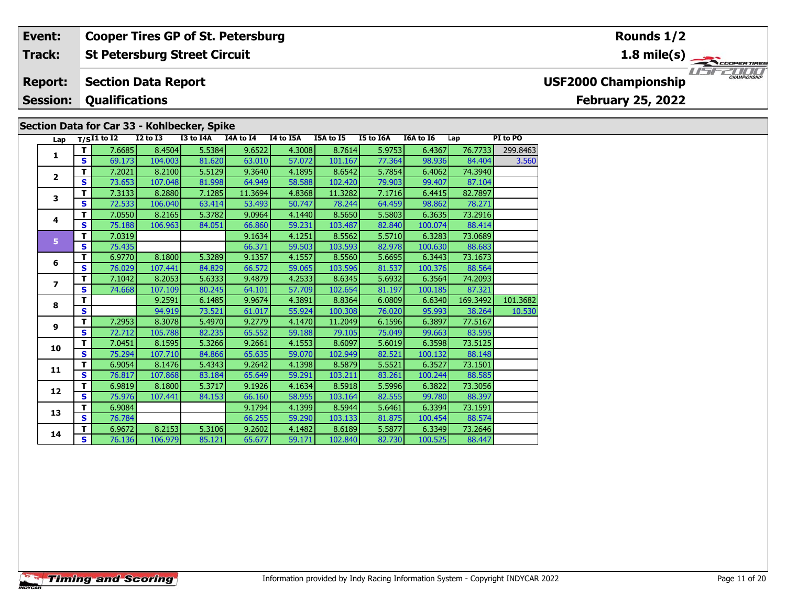#### **St Petersburg Street Circuit Section Data Report Event: Cooper Tires GP of St. Petersburg Track: Report: Session:Qualifications**

### **Section Data for Car 33 - Kohlbecker, Spike**

| Lap          |    | $T/SI1$ to I2 | $I2$ to $I3$ | I3 to I4A | I4A to I4 | I4 to I5A | I5A to I5 | I5 to I6A | I6A to I6 | Lap      | PI to PO |
|--------------|----|---------------|--------------|-----------|-----------|-----------|-----------|-----------|-----------|----------|----------|
|              | т  | 7.6685        | 8.4504       | 5.5384    | 9.6522    | 4.3008    | 8.7614    | 5.9753    | 6.4367    | 76.7733  | 299.8463 |
| 1            | S  | 69.173        | 104.003      | 81.620    | 63.010    | 57.072    | 101.167   | 77.364    | 98.936    | 84.404   | 3.560    |
|              | т  | 7.2021        | 8.2100       | 5.5129    | 9.3640    | 4.1895    | 8.6542    | 5.7854    | 6.4062    | 74.3940  |          |
| $\mathbf{2}$ | S  | 73.653        | 107.048      | 81.998    | 64.949    | 58.588    | 102.420   | 79.903    | 99.407    | 87.104   |          |
| 3            | т  | 7.3133        | 8.2880       | 7.1285    | 11.3694   | 4.8368    | 11.3282   | 7.1716    | 6.4415    | 82.7897  |          |
|              | S  | 72.533        | 106.040      | 63.414    | 53.493    | 50.747    | 78.244    | 64.459    | 98.862    | 78.271   |          |
| 4            | т  | 7.0550        | 8.2165       | 5.3782    | 9.0964    | 4.1440    | 8.5650    | 5.5803    | 6.3635    | 73.2916  |          |
|              | S  | 75.188        | 106.963      | 84.051    | 66.860    | 59.231    | 103.487   | 82.840    | 100.074   | 88.414   |          |
| 5            | т  | 7.0319        |              |           | 9.1634    | 4.1251    | 8.5562    | 5.5710    | 6.3283    | 73.0689  |          |
|              | S  | 75.435        |              |           | 66.371    | 59.503    | 103.593   | 82.978    | 100.630   | 88.683   |          |
| 6            | T  | 6.9770        | 8.1800       | 5.3289    | 9.1357    | 4.1557    | 8.5560    | 5.6695    | 6.3443    | 73.1673  |          |
|              | S  | 76.029        | 107.441      | 84.829    | 66.572    | 59.065    | 103.596   | 81.537    | 100.376   | 88.564   |          |
| 7            | T  | 7.1042        | 8.2053       | 5.6333    | 9.4879    | 4.2533    | 8.6345    | 5.6932    | 6.3564    | 74.2093  |          |
|              | S  | 74.668        | 107.109      | 80.245    | 64.101    | 57.709    | 102.654   | 81.197    | 100.185   | 87.321   |          |
| 8            | т  |               | 9.2591       | 6.1485    | 9.9674    | 4.3891    | 8.8364    | 6.0809    | 6.6340    | 169.3492 | 101.3682 |
|              | S  |               | 94.919       | 73.521    | 61.017    | 55.924    | 100.308   | 76.020    | 95.993    | 38.264   | 10.530   |
| 9            | T  | 7.2953        | 8.3078       | 5.4970    | 9.2779    | 4.1470    | 11.2049   | 6.1596    | 6.3897    | 77.5167  |          |
|              | S. | 72.712        | 105.788      | 82.235    | 65.552    | 59.188    | 79.105    | 75.049    | 99.663    | 83.595   |          |
| 10           | T  | 7.0451        | 8.1595       | 5.3266    | 9.2661    | 4.1553    | 8.6097    | 5.6019    | 6.3598    | 73.5125  |          |
|              | S. | 75.294        | 107.710      | 84.866    | 65.635    | 59.070    | 102.949   | 82.521    | 100.132   | 88.148   |          |
| 11           | T  | 6.9054        | 8.1476       | 5.4343    | 9.2642    | 4.1398    | 8.5879    | 5.5521    | 6.3527    | 73.1501  |          |
|              | S  | 76.817        | 107.868      | 83.184    | 65.649    | 59.291    | 103.211   | 83.261    | 100.244   | 88.585   |          |
| 12           | т  | 6.9819        | 8.1800       | 5.3717    | 9.1926    | 4.1634    | 8.5918    | 5.5996    | 6.3822    | 73.3056  |          |
|              | S. | 75.976        | 107.441      | 84.153    | 66.160    | 58.955    | 103.164   | 82.555    | 99.780    | 88.397   |          |
| 13           | T  | 6.9084        |              |           | 9.1794    | 4.1399    | 8.5944    | 5.6461    | 6.3394    | 73.1591  |          |
|              | S. | 76.784        |              |           | 66.255    | 59.290    | 103.133   | 81.875    | 100.454   | 88.574   |          |
| 14           | т  | 6.9672        | 8.2153       | 5.3106    | 9.2602    | 4.1482    | 8.6189    | 5.5877    | 6.3349    | 73.2646  |          |
|              | S  | 76.136        | 106.979      | 85.121    | 65.677    | 59.171    | 102.840   | 82.730    | 100.525   | 88.447   |          |

# **Rounds 1/2**

**1.8 mile(s)**



# **February 25, 2022 USF2000 Championship**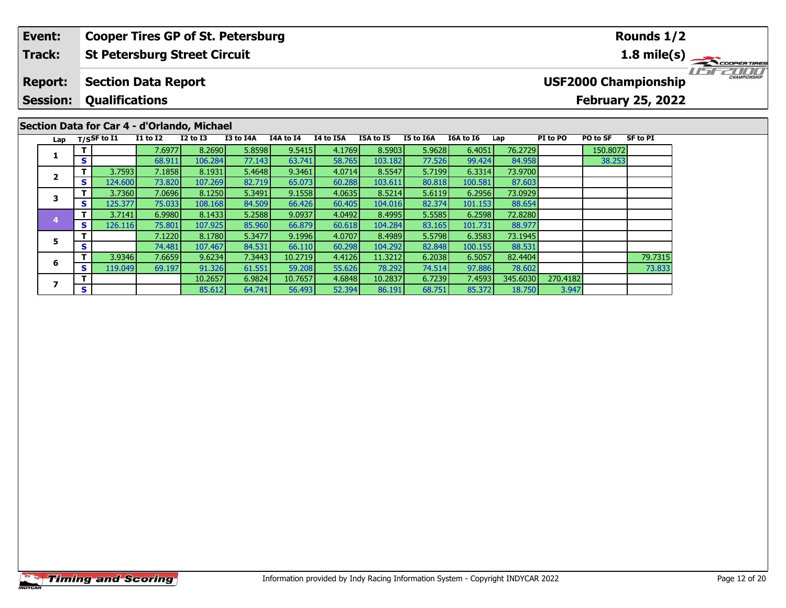#### **Event: Cooper Tires GP of St. Petersburg Rounds 1/2Track:St Petersburg Street Circuit 1.8 mile(s)** 11515211111 **Report: Section Data Report USF2000 Championship Session: Qualifications February 25, 2022 Section Data for Car 4 - d'Orlando, Michael** Lap T/S<sup>SF</sup> to I1 I1 to I2 I2 to I3 I3 to I4A I4A to I4 I4 to I5A I5A to I5 I5 to I6A I6A to I6 Lap PI to PO PO to SF SF to PI **<sup>T</sup>** 7.6977 8.2690 5.8598 9.5415 4.1769 8.5903 5.9628 6.4051 76.2729 150.8072 **<sup>S</sup>** 68.911 106.284 77.143 63.741 58.765 103.182 77.526 99.424 84.958 38.253**1**

**<sup>T</sup>** 3.9346 7.6659 9.6234 7.3443 10.2719 4.4126 11.3212 6.2038 6.5057 82.4404 79.7315 **<sup>S</sup>** 119.049 69.197 91.326 61.551 59.208 55.626 78.292 74.514 97.886 78.602 73.833

88.977

**<sup>T</sup>** 3.7593 7.1858 8.1931 5.4648 9.3461 4.0714 8.5547 5.7199 6.3314 73.9700 **<sup>S</sup>** 124.600 73.820 107.269 82.719 65.073 60.288 103.611 80.818 100.581 87.603

**<sup>T</sup>** 3.7360 7.0696 8.1250 5.3491 9.1558 4.0635 8.5214 5.6119 6.2956 73.0929 **<sup>S</sup>** 125.377 75.033 108.168 84.509 66.426 60.405 104.016 82.374 101.153 88.654

**<sup>T</sup>** 3.7141 6.9980 8.1433 5.2588 9.0937 4.0492 8.4995 5.5585 6.2598 72.8280 **<sup>S</sup>** 126.116 75.801 107.925 85.960 66.879 60.618 104.284 83.165 101.731 88.977

**<sup>T</sup>** 7.1220 8.1780 5.3477 9.1996 4.0707 8.4989 5.5798 6.3583 73.1945 **<sup>S</sup>** 74.481 107.467 84.531 66.110 60.298 104.292 82.848 100.155 88.531

**<sup>T</sup>** 10.2657 6.9824 10.7657 4.6848 10.2837 6.7239 7.4593 345.6030 270.4182 **<sup>S</sup>** 85.612 64.741 56.493 52.394 86.191 68.751 85.372 18.750 3.947

**2**

**3**

**4**

**5**

**6**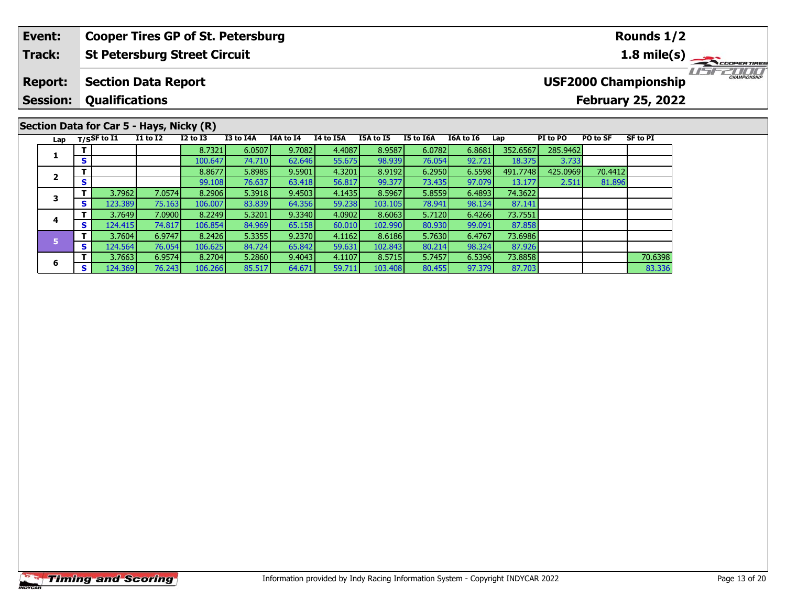#### **St Petersburg Street Circuit Track:**

#### **Section Data Report Report:**

#### **Session:Qualifications**

**1**

**2**

**3**

**4**

**5**

**6**

# **Section Data for Car 5 - Hays, Nicky (R)**<br>Lap T/SSF to 11 11 to 12 12 to 13

| <b>USF2000 Championship</b> |  |
|-----------------------------|--|

### **1.8 mile(s)**

**Rounds 1/2**



# **February 25, 2022**

# **<sup>T</sup>** 8.7321 6.0507 9.7082 4.4087 8.9587 6.0782 6.8681 352.6567 285.9462 **<sup>S</sup>** 100.647 74.710 62.646 55.675 98.939 76.054 92.721 18.375 3.733 **<sup>T</sup>** 8.8677 5.8985 9.5901 4.3201 8.9192 6.2950 6.5598 491.7748 425.0969 70.4412 **<sup>S</sup>** 99.108 76.637 63.418 56.817 99.377 73.435 97.079 13.177 2.511 81.89681.896 **<sup>T</sup>** 3.7962 7.0574 8.2906 5.3918 9.4503 4.1435 8.5967 5.8559 6.4893 74.3622 **<sup>S</sup>** 123.389 75.163 106.007 83.839 64.356 59.238 103.105 78.941 98.134 87.141 **<sup>T</sup>** 3.7649 7.0900 8.2249 5.3201 9.3340 4.0902 8.6063 5.7120 6.4266 73.7551 **<sup>S</sup>** 124.415 74.817 106.854 84.969 65.158 60.010 102.990 80.930 99.091 87.85887.858 **<sup>T</sup>** 3.7604 6.9747 8.2426 5.3355 9.2370 4.1162 8.6186 5.7630 6.4767 73.6986 **<sup>S</sup>** 124.564 76.054 106.625 84.724 65.842 59.631 102.843 80.214 98.324 87.926**<sup>T</sup>** 3.7663 6.9574 8.2704 5.2860 9.4043 4.1107 8.5715 5.7457 6.5396 73.8858 70.6398 **<sup>S</sup>** 124.369 76.243 106.266 85.517 64.671 59.711 103.408 80.455 97.379 87.703 83.336

**Lap T/SSF to I1 I1 to I2 I2 to I3 I3 to I4A I4A to I4 I4 to I5A I5A to I5 I5 to I6A I6A to I6 Lap PI to PO PO to SF SF to PI**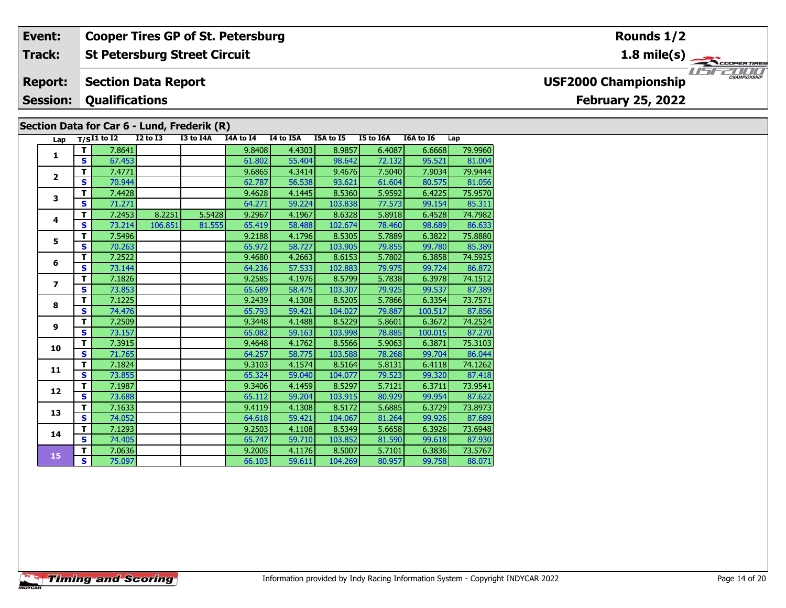#### **Event: Cooper Tires GP of St. Petersburg Rounds 1/2Track:St Petersburg Street Circuit 1.8 mile(s)** 11515211111 **Report: Section Data Report USF2000 Championship Session: Qualifications February 25, 2022 Section Data for Car 6 - Lund, Frederik (R)** Lap T/S<sup>I1</sup> to I2 I2 to I3 I3 to I4A I4A to I4 I4 to I5A I5A to I5 I5 to I6A I6A to I6 Lap **<sup>T</sup>** 7.8641 9.8408 4.4303 8.9857 6.4087 6.6668 79.9960 **<sup>S</sup>** 67.453 61.802 55.404 98.642 72.132 95.521 81.004**1**

86.63

**<sup>T</sup>** 7.4771 9.6865 4.3414 9.4676 7.5040 7.9034 79.9444 **<sup>S</sup>** 70.944 62.787 56.538 93.621 61.604 80.575 81.056

**<sup>T</sup>** 7.4428 9.4628 4.1445 8.5360 5.9592 6.4225 75.9570 **<sup>S</sup>** 71.271 64.271 59.224 103.838 77.573 99.154 85.311

**<sup>T</sup>** 7.2453 8.2251 5.5428 9.2967 4.1967 8.6328 5.8918 6.4528 74.7982 **<sup>S</sup>** 73.214 106.851 81.555 65.419 58.488 102.674 78.460 98.689 86.633

**<sup>T</sup>** 7.5496 9.2188 4.1796 8.5305 5.7889 6.3822 75.8880 **<sup>S</sup>** 70.263 65.972 58.727 103.905 79.855 99.780 85.389

**<sup>T</sup>** 7.2522 9.4680 4.2663 8.6153 5.7802 6.3858 74.5925 **<sup>S</sup>** 73.144 64.236 57.533 102.883 79.975 99.724 86.872

**<sup>T</sup>** 7.1826 9.2585 4.1976 8.5799 5.7838 6.3978 74.1512 **<sup>S</sup>** 73.853 65.689 58.475 103.307 79.925 99.537 87.389

**<sup>T</sup>** 7.1225 9.2439 4.1308 8.5205 5.7866 6.3354 73.7571 **<sup>S</sup>** 74.476 65.793 59.421 104.027 79.887 100.517 87.856

**<sup>T</sup>** 7.2509 9.3448 4.1488 8.5229 5.8601 6.3672 74.2524 **<sup>S</sup>** 73.157 65.082 59.163 103.998 78.885 100.015 87.270

**<sup>T</sup>** 7.3915 9.4648 4.1762 8.5566 5.9063 6.3871 75.3103 **<sup>S</sup>** 71.765 64.257 58.775 103.588 78.268 99.704 86.044

**T** 7.1824 9.3103 4.1574 8.5164 5.8131 6.4118 74.1262<br> **S** 73.855 65.324 59.040 104.077 79.523 99.320 87.418

**<sup>T</sup>** 7.1987 9.3406 4.1459 8.5297 5.7121 6.3711 73.9541 **<sup>S</sup>** 73.688 65.112 59.204 103.915 80.929 99.954 87.622

**<sup>T</sup>** 7.1633 9.4119 4.1308 8.5172 5.6885 6.3729 73.8973 **<sup>S</sup>** 74.052 64.618 59.421 104.067 81.264 99.926 87.689

**<sup>T</sup>** 7.1293 9.2503 4.1108 8.5349 5.6658 6.3926 73.6948 **<sup>S</sup>** 74.405 65.747 59.710 103.852 81.590 99.618 87.930

**<sup>T</sup>** 7.0636 9.2005 4.1176 8.5007 5.7101 6.3836 73.5767 **<sup>S</sup>** 75.097 66.103 59.611 104.269 80.957 99.758 88.071

**2**

**3**

**4**

**5**

**6**

**7**

**8**

**9**

**10**

**11**

**12**

**13**

**14**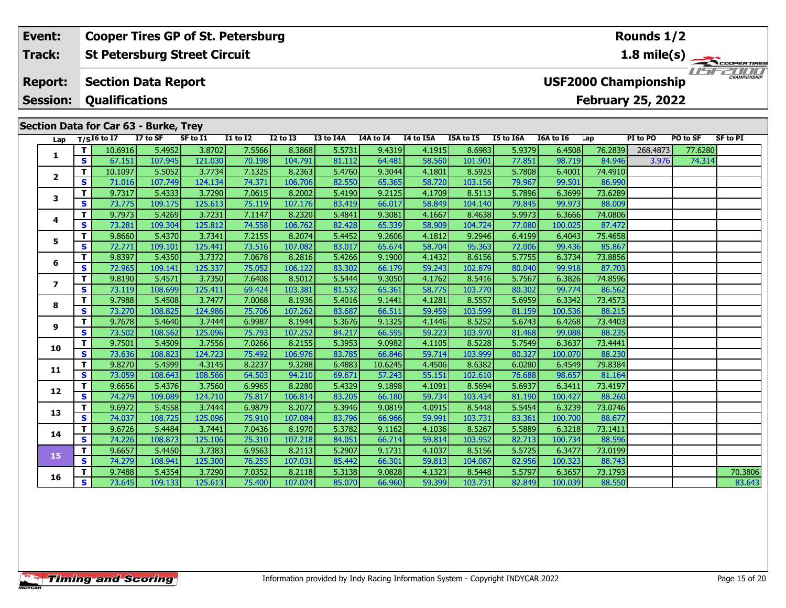#### **Event: Cooper Tires GP of St. Petersburg Rounds 1/2St Petersburg Street Circuit 1.8 mile(s) Track:** THE PLANTING **Report: Section Data Report USF2000 Championship Qualifications Session:February 25, 2022 Section Data for Car 63 - Burke, Trey**

| Lap                     |              | SECUVII DALA IVI CAI VJ - DUINE, ITEY<br>$T/SI6$ to I7 | I7 to SF | SF to I1 | I1 to I2 | I2 to I3 | I3 to I4A | I4A to I4 | I4 to I5A | I5A to I5 | I5 to I6A | I6A to I6 | Lap     | PI to PO | PO to SF | <b>SF to PI</b> |
|-------------------------|--------------|--------------------------------------------------------|----------|----------|----------|----------|-----------|-----------|-----------|-----------|-----------|-----------|---------|----------|----------|-----------------|
|                         | T.           | 10.6916                                                | 5.4952   | 3.8702   | 7.5566   | 8.3868   | 5.5731    | 9.4319    | 4.1915    | 8.6983    | 5.9379    | 6.4508    | 76.2839 | 268.4873 | 77.6280  |                 |
| 1                       | S            | 67.151                                                 | 107.945  | 121.030  | 70.198   | 104.791  | 81.112    | 64.481    | 58.560    | 101.901   | 77.851    | 98.719    | 84.946  | 3.976    | 74.314   |                 |
|                         | T            | 10.1097                                                | 5.5052   | 3.7734   | 7.1325   | 8.2363   | 5.4760    | 9.3044    | 4.1801    | 8.5925    | 5.7808    | 6.4001    | 74.4910 |          |          |                 |
| $\overline{\mathbf{2}}$ | S            | 71.016                                                 | 107.749  | 124.134  | 74.371   | 106.706  | 82.550    | 65.365    | 58.720    | 103.156   | 79.967    | 99.501    | 86.990  |          |          |                 |
|                         | т            | 9.7317                                                 | 5.4333   | 3.7290   | 7.0615   | 8.2002   | 5.4190    | 9.2125    | 4.1709    | 8.5113    | 5.7896    | 6.3699    | 73.6289 |          |          |                 |
| 3                       | S            | 73.775                                                 | 109.175  | 125.613  | 75.119   | 107.176  | 83.419    | 66.017    | 58.849    | 104.140   | 79.845    | 99.973    | 88.009  |          |          |                 |
|                         | T            | 9.7973                                                 | 5.4269   | 3.7231   | 7.1147   | 8.2320   | 5.4841    | 9.3081    | 4.1667    | 8.4638    | 5.9973    | 6.3666    | 74.0806 |          |          |                 |
| 4                       | S            | 73.281                                                 | 109.304  | 125.812  | 74.558   | 106.762  | 82.428    | 65.339    | 58.909    | 104.724   | 77.080    | 100.025   | 87.472  |          |          |                 |
|                         | T            | 9.8660                                                 | 5.4370   | 3.7341   | 7.2155   | 8.2074   | 5.4452    | 9.2606    | 4.1812    | 9.2946    | 6.4199    | 6.4043    | 75.4658 |          |          |                 |
| 5                       | $\mathbf{s}$ | 72.771                                                 | 109.101  | 125.441  | 73.516   | 107.082  | 83.017    | 65.674    | 58.704    | 95.363    | 72.006    | 99.436    | 85.867  |          |          |                 |
|                         | T.           | 9.8397                                                 | 5.4350   | 3.7372   | 7.0678   | 8.2816   | 5.4266    | 9.1900    | 4.1432    | 8.6156    | 5.7755    | 6.3734    | 73.8856 |          |          |                 |
| 6                       | S            | 72.965                                                 | 109.141  | 125.337  | 75.052   | 106.122  | 83.302    | 66.179    | 59.243    | 102.879   | 80.040    | 99.918    | 87.703  |          |          |                 |
| 7                       | T            | 9.8190                                                 | 5.4571   | 3.7350   | 7.6408   | 8.5012   | 5.5444    | 9.3050    | 4.1762    | 8.5416    | 5.7567    | 6.3826    | 74.8596 |          |          |                 |
|                         | S            | 73.119                                                 | 108.699  | 125.411  | 69.424   | 103.381  | 81.532    | 65.361    | 58.775    | 103.770   | 80.302    | 99.774    | 86.562  |          |          |                 |
| 8                       | T            | 9.7988                                                 | 5.4508   | 3.7477   | 7.0068   | 8.1936   | 5.4016    | 9.1441    | 4.1281    | 8.5557    | 5.6959    | 6.3342    | 73.4573 |          |          |                 |
|                         | S            | 73.270                                                 | 108.825  | 124.986  | 75.706   | 107.262  | 83.687    | 66.511    | 59.459    | 103.599   | 81.159    | 100.536   | 88.215  |          |          |                 |
| 9                       | T            | 9.7678                                                 | 5.4640   | 3.7444   | 6.9987   | 8.1944   | 5.3676    | 9.1325    | 4.1446    | 8.5252    | 5.6743    | 6.4268    | 73.4403 |          |          |                 |
|                         | $\mathbf{s}$ | 73.502                                                 | 108.562  | 125.096  | 75.793   | 107.252  | 84.217    | 66.595    | 59.223    | 103.970   | 81.468    | 99.088    | 88.235  |          |          |                 |
| 10                      | Т            | 9.7501                                                 | 5.4509   | 3.7556   | 7.0266   | 8.2155   | 5.3953    | 9.0982    | 4.1105    | 8.5228    | 5.7549    | 6.3637    | 73.4441 |          |          |                 |
|                         | $\mathbf{s}$ | 73.636                                                 | 108.823  | 124.723  | 75.492   | 106.976  | 83.785    | 66.846    | 59.714    | 103.999   | 80.327    | 100.070   | 88.230  |          |          |                 |
| 11                      | т            | 9.8270                                                 | 5.4599   | 4.3145   | 8.2237   | 9.3288   | 6.4883    | 10.6245   | 4.4506    | 8.6382    | 6.0280    | 6.4549    | 79.8384 |          |          |                 |
|                         | S            | 73.059                                                 | 108.643  | 108.566  | 64.503   | 94.210   | 69.671    | 57.243    | 55.151    | 102.610   | 76.688    | 98.657    | 81.164  |          |          |                 |
| 12                      | T            | 9.6656                                                 | 5.4376   | 3.7560   | 6.9965   | 8.2280   | 5.4329    | 9.1898    | 4.1091    | 8.5694    | 5.6937    | 6.3411    | 73.4197 |          |          |                 |
|                         | S            | 74.279                                                 | 109.089  | 124.710  | 75.817   | 106.814  | 83.205    | 66.180    | 59.734    | 103.434   | 81.190    | 100.427   | 88.260  |          |          |                 |
| 13                      | T            | 9.6972                                                 | 5.4558   | 3.7444   | 6.9879   | 8.2072   | 5.3946    | 9.0819    | 4.0915    | 8.5448    | 5.5454    | 6.3239    | 73.0746 |          |          |                 |
|                         | S            | 74.037                                                 | 108.725  | 125.096  | 75.910   | 107.084  | 83.796    | 66.966    | 59.991    | 103.731   | 83.361    | 100.700   | 88.677  |          |          |                 |
| 14                      | T            | 9.6726                                                 | 5.4484   | 3.7441   | 7.0436   | 8.1970   | 5.3782    | 9.1162    | 4.1036    | 8.5267    | 5.5889    | 6.3218    | 73.1411 |          |          |                 |
|                         | $\mathbf{s}$ | 74.226                                                 | 108.873  | 125.106  | 75.310   | 107.218  | 84.051    | 66.714    | 59.814    | 103.952   | 82.713    | 100.734   | 88.596  |          |          |                 |
| 15                      | Т            | 9.6657                                                 | 5.4450   | 3.7383   | 6.9563   | 8.2113   | 5.2907    | 9.1731    | 4.1037    | 8.5156    | 5.5725    | 6.3477    | 73.0199 |          |          |                 |
|                         | S            | 74.279                                                 | 108.941  | 125.300  | 76.255   | 107.031  | 85.442    | 66.301    | 59.813    | 104.087   | 82.956    | 100.323   | 88.743  |          |          |                 |
| 16                      | Т            | 9.7488                                                 | 5.4354   | 3.7290   | 7.0352   | 8.2118   | 5.3138    | 9.0828    | 4.1323    | 8.5448    | 5.5797    | 6.3657    | 73.1793 |          |          | 70.3806         |
|                         | S            | 73.645                                                 | 109.133  | 125.613  | 75.400   | 107.024  | 85.070    | 66.960    | 59.399    | 103.731   | 82.849    | 100.039   | 88.550  |          |          | 83.643          |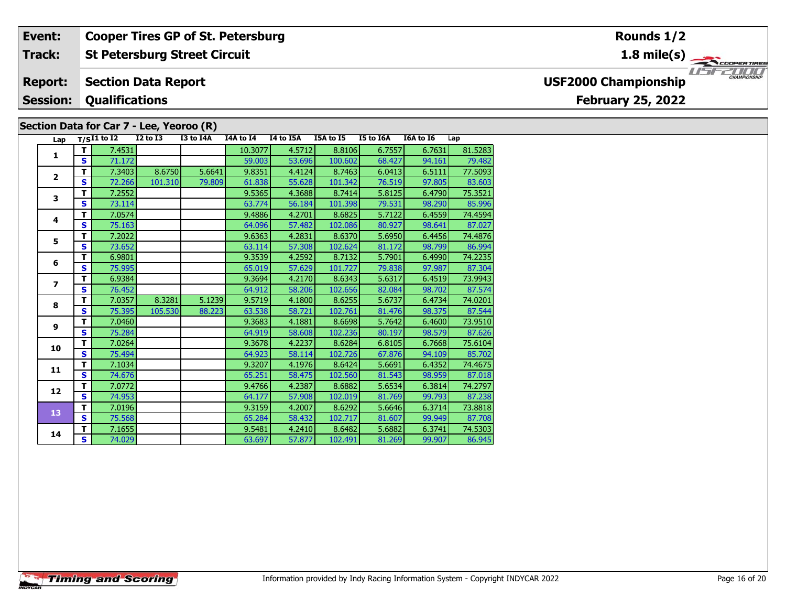#### **Event: Cooper Tires GP of St. Petersburg Rounds 1/2St Petersburg Street Circuit 1.8 mile(s) Track:** THE COOPERTIRES **Section Data Report Report: USF2000 Championship Qualifications Session:February 25, 2022 Section Data for Car 7 - Lee, Yeoroo (R)**

| Lap                      |                                                                                                               | $T/SI1$ to $I2$ | <b>I2 to I3</b> | I3 to I4A | I4A to I4 | I4 to I5A | I5A to I5 | I5 to I6A | I6A to I6 | Lap     |
|--------------------------|---------------------------------------------------------------------------------------------------------------|-----------------|-----------------|-----------|-----------|-----------|-----------|-----------|-----------|---------|
|                          | T I                                                                                                           | 7.4531          |                 |           | 10.3077   | 4.5712    | 8.8106    | 6.7557    | 6.7631    | 81.5283 |
| $\mathbf{1}$             | S.<br>71.172<br>59.003<br>53.696<br>100.602<br>8.6750<br>9.8351<br>4.4124<br>T.<br>7.3403<br>5.6641<br>8.7463 | 68.427          | 94.161          | 79.482    |           |           |           |           |           |         |
| $\overline{2}$           | 6.0413                                                                                                        | 6.5111          | 77.5093         |           |           |           |           |           |           |         |
|                          | S.                                                                                                            | 72.266          | 101.310         | 79.809    | 61.838    | 55.628    | 101.342   | 76.519    | 97.805    | 83.603  |
| 3                        | T.                                                                                                            | 7.2552          |                 |           | 9.5365    | 4.3688    | 8.7414    | 5.8125    | 6.4790    | 75.3521 |
|                          | S                                                                                                             | 73.114          |                 |           | 63.774    | 56.184    | 101.398   | 79.531    | 98.290    | 85.996  |
| 4                        | T.                                                                                                            | 7.0574          |                 |           | 9.4886    | 4.2701    | 8.6825    | 5.7122    | 6.4559    | 74.4594 |
|                          | S                                                                                                             | 75.163          |                 |           | 64.096    | 57.482    | 102.086   | 80.927    | 98.641    | 87.027  |
| 5                        | T.                                                                                                            | 7.2022          |                 |           | 9.6363    | 4.2831    | 8.6370    | 5.6950    | 6.4456    | 74.4876 |
|                          | S.                                                                                                            | 73.652          |                 |           | 63.114    | 57.308    | 102.624   | 81.172    | 98.799    | 86.994  |
| 6                        | T.                                                                                                            | 6.9801          |                 |           | 9.3539    | 4.2592    | 8.7132    | 5.7901    | 6.4990    | 74.2235 |
|                          | S.                                                                                                            | 75.995          |                 |           | 65.019    | 57.629    | 101.727   | 79.838    | 97.987    | 87.304  |
| $\overline{\phantom{a}}$ | T.                                                                                                            | 6.9384          |                 |           | 9.3694    | 4.2170    | 8.6343    | 5.6317    | 6.4519    | 73.9943 |
|                          | S                                                                                                             | 76.452          |                 |           | 64.912    | 58.206    | 102.656   | 82.084    | 98.702    | 87.574  |
| 8                        | T.                                                                                                            | 7.0357          | 8.3281          | 5.1239    | 9.5719    | 4.1800    | 8.6255    | 5.6737    | 6.4734    | 74.0201 |
|                          | S.                                                                                                            | 75.395          | 105.530         | 88.223    | 63.538    | 58.721    | 102.761   | 81.476    | 98.375    | 87.544  |
| 9                        | T.                                                                                                            | 7.0460          |                 |           | 9.3683    | 4.1881    | 8.6698    | 5.7642    | 6.4600    | 73.9510 |
|                          | S.                                                                                                            | 75.284          |                 |           | 64.919    | 58.608    | 102.236   | 80.197    | 98.579    | 87.626  |
| 10                       | T.                                                                                                            | 7.0264          |                 |           | 9.3678    | 4.2237    | 8.6284    | 6.8105    | 6.7668    | 75.6104 |
|                          | S.                                                                                                            | 75.494          |                 |           | 64.923    | 58.114    | 102.726   | 67.876    | 94.109    | 85.702  |
| 11                       | T.                                                                                                            | 7.1034          |                 |           | 9.3207    | 4.1976    | 8.6424    | 5.6691    | 6.4352    | 74.4675 |
|                          | S                                                                                                             | 74.676          |                 |           | 65.251    | 58.475    | 102.560   | 81.543    | 98.959    | 87.018  |
| 12                       | T.                                                                                                            | 7.0772          |                 |           | 9.4766    | 4.2387    | 8.6882    | 5.6534    | 6.3814    | 74.2797 |
|                          | S.                                                                                                            | 74.953          |                 |           | 64.177    | 57.908    | 102.019   | 81.769    | 99.793    | 87.238  |
| 13                       | T.                                                                                                            | 7.0196          |                 |           | 9.3159    | 4.2007    | 8.6292    | 5.6646    | 6.3714    | 73.8818 |
|                          | S.                                                                                                            | 75.568          |                 |           | 65.284    | 58.432    | 102.717   | 81.607    | 99.949    | 87.708  |
| 14                       | T.                                                                                                            | 7.1655          |                 |           | 9.5481    | 4.2410    | 8.6482    | 5.6882    | 6.3741    | 74.5303 |
|                          | S.                                                                                                            | 74.029          |                 |           | 63.697    | 57.877    | 102.491   | 81.269    | 99.907    | 86.945  |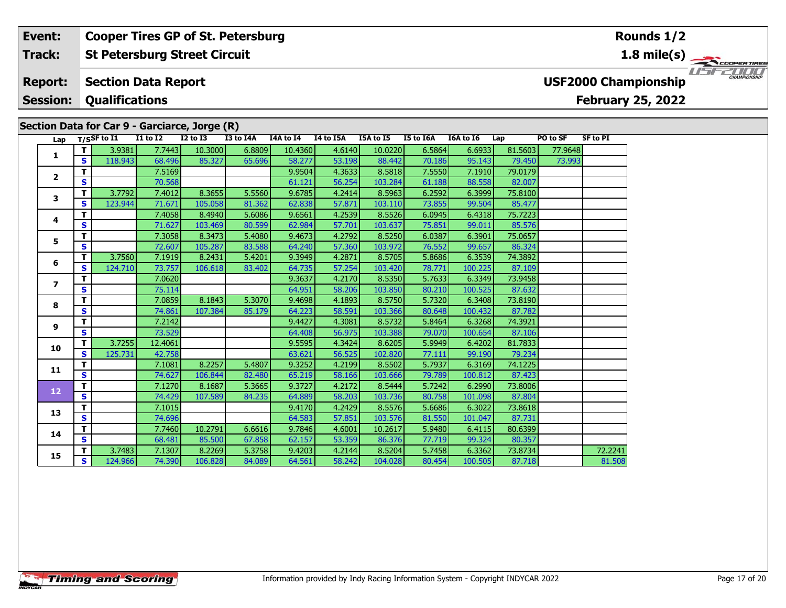### **St Petersburg Street Circuit Track:**

**Cooper Tires GP of St. Petersburg**

#### **Section Data Report Report:**

**Session:Qualifications**

**Event:**

# **Section Data for Car 9 - Garciarce, Jorge (R)**

**Timing and Scoring** 

|                |                                        | $\mathfrak{su}$ uon Data ior Car 9 - Garciarce, Jorge (K) |                 |              |           |           |           |           |           |           |         |          |                 |
|----------------|----------------------------------------|-----------------------------------------------------------|-----------------|--------------|-----------|-----------|-----------|-----------|-----------|-----------|---------|----------|-----------------|
| Lap            |                                        | T/SSF to I1                                               | <b>I1 to I2</b> | $I2$ to $I3$ | I3 to I4A | I4A to I4 | I4 to I5A | I5A to I5 | I5 to I6A | I6A to I6 | Lap     | PO to SF | <b>SF to PI</b> |
| 1              | $\mathbf{T}$                           | 3.9381                                                    | 7.7443          | 10.3000      | 6.8809    | 10.4360   | 4.6140    | 10.0220   | 6.5864    | 6.6933    | 81.5603 | 77.9648  |                 |
|                | $\mathbf{s}$                           | 118.943                                                   | 68.496          | 85.327       | 65.696    | 58.277    | 53.198    | 88.442    | 70.186    | 95.143    | 79.450  | 73.993   |                 |
| $\mathbf{2}$   | T                                      |                                                           | 7.5169          |              |           | 9.9504    | 4.3633    | 8.5818    | 7.5550    | 7.1910    | 79.0179 |          |                 |
|                | S                                      |                                                           | 70.568          |              |           | 61.121    | 56.254    | 103.284   | 61.188    | 88.558    | 82.007  |          |                 |
| 3              | T                                      | 3.7792                                                    | 7.4012          | 8.3655       | 5.5560    | 9.6785    | 4.2414    | 8.5963    | 6.2592    | 6.3999    | 75.8100 |          |                 |
|                | S                                      | 123.944                                                   | 71.671          | 105.058      | 81.362    | 62.838    | 57.871    | 103.110   | 73.855    | 99.504    | 85.477  |          |                 |
| 4              | T                                      |                                                           | 7.4058          | 8.4940       | 5.6086    | 9.6561    | 4.2539    | 8.5526    | 6.0945    | 6.4318    | 75.7223 |          |                 |
|                | S                                      |                                                           | 71.627          | 103.469      | 80.599    | 62.984    | 57.701    | 103.637   | 75.851    | 99.011    | 85.576  |          |                 |
| 5              | $\mathbf{T}$                           |                                                           | 7.3058          | 8.3473       | 5.4080    | 9.4673    | 4.2792    | 8.5250    | 6.0387    | 6.3901    | 75.0657 |          |                 |
|                | $\mathbf{s}$                           |                                                           | 72.607          | 105.287      | 83.588    | 64.240    | 57.360    | 103.972   | 76.552    | 99.657    | 86.324  |          |                 |
| 6              | T                                      | 3.7560                                                    | 7.1919          | 8.2431       | 5.4201    | 9.3949    | 4.2871    | 8.5705    | 5.8686    | 6.3539    | 74.3892 |          |                 |
|                | S                                      | 124.710                                                   | 73.757          | 106.618      | 83.402    | 64.735    | 57.254    | 103.420   | 78.771    | 100.225   | 87.109  |          |                 |
| $\overline{ }$ | т                                      |                                                           | 7.0620          |              |           | 9.3637    | 4.2170    | 8.5350    | 5.7633    | 6.3349    | 73.9458 |          |                 |
|                | $\mathbf{s}$                           |                                                           | 75.114          |              |           | 64.951    | 58.206    | 103.850   | 80.210    | 100.525   | 87.632  |          |                 |
| 8              | $\mathbf T$                            |                                                           | 7.0859          | 8.1843       | 5.3070    | 9.4698    | 4.1893    | 8.5750    | 5.7320    | 6.3408    | 73.8190 |          |                 |
|                | $\mathbf{s}$                           |                                                           | 74.861          | 107.384      | 85.179    | 64.223    | 58.591    | 103.366   | 80.648    | 100.432   | 87.782  |          |                 |
| 9              | T                                      |                                                           | 7.2142          |              |           | 9.4427    | 4.3081    | 8.5732    | 5.8464    | 6.3268    | 74.3921 |          |                 |
|                | S                                      |                                                           | 73.529          |              |           | 64.408    | 56.975    | 103.388   | 79.070    | 100.654   | 87.106  |          |                 |
| 10             | T                                      | 3.7255                                                    | 12.4061         |              |           | 9.5595    | 4.3424    | 8.6205    | 5.9949    | 6.4202    | 81.7833 |          |                 |
|                | S                                      | 125.731                                                   | 42.758          |              |           | 63.621    | 56.525    | 102.820   | 77.111    | 99.190    | 79.234  |          |                 |
| 11             | $\mathbf T$<br>$\overline{\mathbf{s}}$ |                                                           | 7.1081          | 8.2257       | 5.4807    | 9.3252    | 4.2199    | 8.5502    | 5.7937    | 6.3169    | 74.1225 |          |                 |
|                |                                        |                                                           | 74.627          | 106.844      | 82.480    | 65.219    | 58.166    | 103.666   | 79.789    | 100.812   | 87.423  |          |                 |
| 12             | T                                      |                                                           | 7.1270          | 8.1687       | 5.3665    | 9.3727    | 4.2172    | 8.5444    | 5.7242    | 6.2990    | 73.8006 |          |                 |
|                | $\mathbf{s}$                           |                                                           | 74.429          | 107.589      | 84.235    | 64.889    | 58.203    | 103.736   | 80.758    | 101.098   | 87.804  |          |                 |
| 13             | T                                      |                                                           | 7.1015          |              |           | 9.4170    | 4.2429    | 8.5576    | 5.6686    | 6.3022    | 73.8618 |          |                 |
|                | S                                      |                                                           | 74.696          |              |           | 64.583    | 57.851    | 103.576   | 81.550    | 101.047   | 87.731  |          |                 |
| 14             | T                                      |                                                           | 7.7460          | 10.2791      | 6.6616    | 9.7846    | 4.6001    | 10.2617   | 5.9480    | 6.4115    | 80.6399 |          |                 |
|                | $\overline{\mathbf{s}}$                |                                                           | 68.481          | 85.500       | 67.858    | 62.157    | 53.359    | 86.376    | 77.719    | 99.324    | 80.357  |          |                 |
| 15             | T                                      | 3.7483                                                    | 7.1307          | 8.2269       | 5.3758    | 9.4203    | 4.2144    | 8.5204    | 5.7458    | 6.3362    | 73.8734 |          | 72.2241         |
|                | $\overline{\mathbf{s}}$                | 124.966                                                   | 74.390          | 106.828      | 84.089    | 64.561    | 58.242    | 104.028   | 80.454    | 100.505   | 87.718  |          | 81.508          |



# **USF2000 Championship**

# **February 25, 2022**

**Rounds 1/2**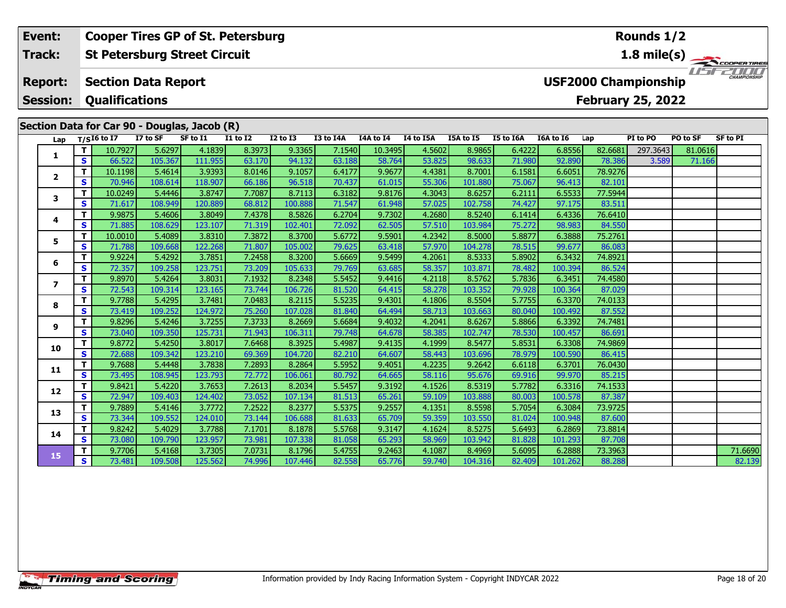#### **Event:Rounds 1/2 Cooper Tires GP of St. Petersburg Track:St Petersburg Street Circuit 1.8 mile(s)** 1515211111 **Report: Section Data Report USF2000 Championship Session: Qualifications February 25, 2022 Section Data for Car 90 - Douglas, Jacob (R)**<br>Lap T/SI6 to I7 I7 to SF SF to I1 II to **Lap T/SI6 to I7 I7 to SF SF to I1 I1 to I2 I2 to I3 I3 to I4A I4A to I4 I4 to I5A I5A to I5 I5 to I6A I6A to I6 Lap PI to PO PO to SF SF to PI**

**<sup>T</sup>** 10.7927 5.6297 4.1839 8.3973 9.3365 7.1540 10.3495 4.5602 8.9865 6.4222 6.8556 82.6681 297.3643 81.0616 **<sup>S</sup>** 66.522 105.367 111.955 63.170 94.132 63.188 58.764 53.825 98.633 71.980 92.890 78.386 3.589 71.166

|                         | т  | 10.1198 | 5.4614  | 3.93931 | 8.0146 | 9.1057  | 6.4177 | 9.9677 | 4.4381 | 8.7001  | 6.1581 | 6.6051  | 78.92761 |  |         |
|-------------------------|----|---------|---------|---------|--------|---------|--------|--------|--------|---------|--------|---------|----------|--|---------|
| $\mathbf{2}$            | S  | 70.946  | 108.614 | 118.907 | 66.186 | 96.518  | 70.437 | 61.015 | 55.306 | 101.880 | 75.067 | 96.413  | 82.101   |  |         |
| 3                       | т  | 10.0249 | 5.4446  | 3.8747  | 7.7087 | 8.7113  | 6.3182 | 9.8176 | 4.3043 | 8.6257  | 6.2111 | 6.5533  | 77.5944  |  |         |
|                         | S  | 71.617  | 108.949 | 120.889 | 68.812 | 100.888 | 71.547 | 61.948 | 57.025 | 102.758 | 74.427 | 97.175  | 83.511   |  |         |
| 4                       | т  | 9.9875  | 5.4606  | 3.8049  | 7.4378 | 8.5826  | 6.2704 | 9.7302 | 4.2680 | 8.5240  | 6.1414 | 6.4336  | 76.6410  |  |         |
|                         | S  | 71.885  | 108.629 | 123.107 | 71.319 | 102.401 | 72.092 | 62.505 | 57.510 | 103.984 | 75.272 | 98.983  | 84.550   |  |         |
| 5                       | т  | 10.0010 | 5.4089  | 3.8310  | 7.3872 | 8.3700  | 5.6772 | 9.5901 | 4.2342 | 8.5000  | 5.8877 | 6.3888  | 75.2761  |  |         |
|                         | S  | 71.788  | 109.668 | 122.268 | 71.807 | 105.002 | 79.625 | 63.418 | 57.970 | 104.278 | 78.515 | 99.677  | 86.083   |  |         |
| 6                       | т  | 9.9224  | 5.4292  | 3.7851  | 7.2458 | 8.3200  | 5.6669 | 9.5499 | 4.2061 | 8.5333  | 5.8902 | 6.3432  | 74.8921  |  |         |
|                         | S  | 72.357  | 109.258 | 123.751 | 73.209 | 105.633 | 79.769 | 63.685 | 58.357 | 103.871 | 78.482 | 100.394 | 86.524   |  |         |
| $\overline{\mathbf{z}}$ | т  | 9.8970  | 5.4264  | 3.8031  | 7.1932 | 8.2348  | 5.5452 | 9.4416 | 4.2118 | 8.5762  | 5.7836 | 6.3451  | 74.4580  |  |         |
|                         | S  | 72.543  | 109.314 | 123.165 | 73.744 | 106.726 | 81.520 | 64.415 | 58.278 | 103.352 | 79.928 | 100.364 | 87.029   |  |         |
| 8                       | т  | 9.7788  | 5.4295  | 3.7481  | 7.0483 | 8.2115  | 5.5235 | 9.4301 | 4.1806 | 8.5504  | 5.7755 | 6.3370  | 74.0133  |  |         |
|                         | S  | 73.419  | 109.252 | 124.972 | 75.260 | 107.028 | 81.840 | 64.494 | 58.713 | 103.663 | 80.040 | 100.492 | 87.552   |  |         |
| 9                       | T. | 9.8296  | 5.4246  | 3.7255  | 7.3733 | 8.2669  | 5.6684 | 9.4032 | 4.2041 | 8.6267  | 5.8866 | 6.3392  | 74.7481  |  |         |
|                         | S  | 73.040  | 109.350 | 125.731 | 71.943 | 106.311 | 79.748 | 64.678 | 58.385 | 102.747 | 78.530 | 100.457 | 86.691   |  |         |
| 10                      | т  | 9.8772  | 5.4250  | 3.8017  | 7.6468 | 8.3925  | 5.4987 | 9.4135 | 4.1999 | 8.5477  | 5.8531 | 6.3308  | 74.9869  |  |         |
|                         | S  | 72.688  | 109.342 | 123.210 | 69.369 | 104.720 | 82.210 | 64.607 | 58.443 | 103.696 | 78.979 | 100.590 | 86.415   |  |         |
| 11                      | T. | 9.7688  | 5.4448  | 3.7838  | 7.2893 | 8.2864  | 5.5952 | 9.4051 | 4.2235 | 9.2642  | 6.6118 | 6.3701  | 76.0430  |  |         |
|                         | S  | 73.495  | 108.945 | 123.793 | 72.772 | 106.061 | 80.792 | 64.665 | 58.116 | 95.676  | 69.916 | 99.970  | 85.215   |  |         |
| 12                      | т  | 9.8421  | 5.4220  | 3.7653  | 7.2613 | 8.2034  | 5.5457 | 9.3192 | 4.1526 | 8.5319  | 5.7782 | 6.3316  | 74.1533  |  |         |
|                         | S  | 72.947  | 109.403 | 124.402 | 73.052 | 107.134 | 81.513 | 65.261 | 59.109 | 103.888 | 80.003 | 100.578 | 87.387   |  |         |
| 13                      | т  | 9.7889  | 5.4146  | 3.7772  | 7.2522 | 8.2377  | 5.5375 | 9.2557 | 4.1351 | 8.5598  | 5.7054 | 6.3084  | 73.9725  |  |         |
|                         | S  | 73.344  | 109.552 | 124.010 | 73.144 | 106.688 | 81.633 | 65.709 | 59.359 | 103.550 | 81.024 | 100.948 | 87.600   |  |         |
| 14                      | т  | 9.8242  | 5.4029  | 3.7788  | 7.1701 | 8.1878  | 5.5768 | 9.3147 | 4.1624 | 8.5275  | 5.6493 | 6.2869  | 73.8814  |  |         |
|                         | S  | 73.080  | 109.790 | 123.957 | 73.981 | 107.338 | 81.058 | 65.293 | 58.969 | 103.942 | 81.828 | 101.293 | 87.708   |  |         |
| 15                      | т  | 9.7706  | 5.4168  | 3.7305  | 7.0731 | 8.1796  | 5.4755 | 9.2463 | 4.1087 | 8.4969  | 5.6095 | 6.2888  | 73.3963  |  | 71.6690 |
|                         | S  | 73.481  | 109.508 | 125.562 | 74.996 | 107.446 | 82.558 | 65.776 | 59.740 | 104.316 | 82.409 | 101.262 | 88.288   |  | 82.139  |
|                         |    |         |         |         |        |         |        |        |        |         |        |         |          |  |         |

**1**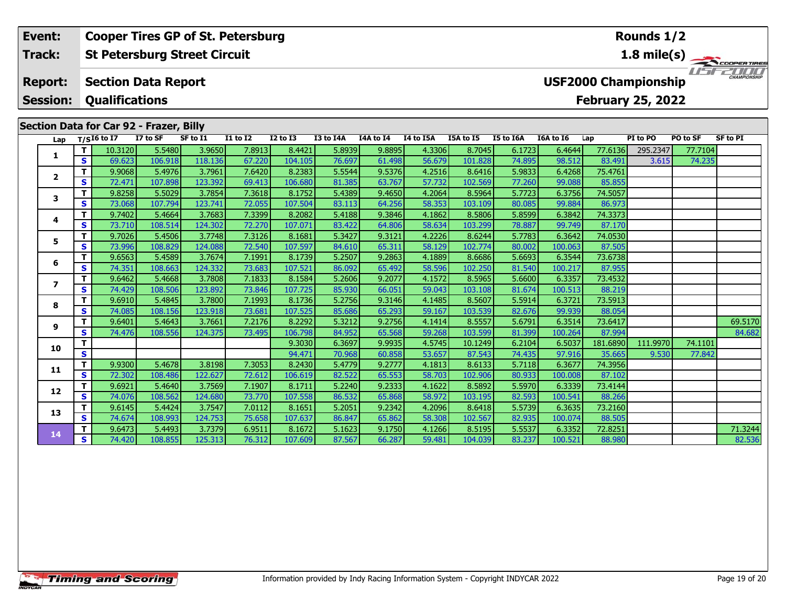#### **Event: Cooper Tires GP of St. Petersburg Rounds 1/21.8 mile(s) St Petersburg Street Circuit Track:** THE COOPERTIRES **Section Data Report Report: USF2000 Championship Qualifications Session:February 25, 2022 Section Data for Car 92 - Frazer, Billy**

|         |          | PI to PO | Lap      | I6A to I6 | I5 to I6A | I5A to I5 | I4 to I5A | I4A to I4 | I3 to I4A | $I2$ to $I3$ | $I1$ to $I2$ | SF to I1 | I7 to SF | $T/SI6$ to I7 |              | Lap                      |
|---------|----------|----------|----------|-----------|-----------|-----------|-----------|-----------|-----------|--------------|--------------|----------|----------|---------------|--------------|--------------------------|
| 77.7104 | 295.2347 |          | 77.6136  | 6.4644    | 6.1723    | 8.7045    | 4.3306    | 9.8895    | 5.8939    | 8.4421       | 7.8913       | 3.9650   | 5.5480   | 10.3120       | т            | 1                        |
| 74.235  | 3.615    |          | 83.491   | 98.512    | 74.895    | 101.828   | 56.679    | 61.498    | 76.697    | 104.105      | 67.220       | 118.136  | 106.918  | 69.623        | S            |                          |
|         |          |          | 75.4761  | 6.4268    | 5.9833    | 8.6416    | 4.2516    | 9.5376    | 5.5544    | 8.2383       | 7.6420       | 3.7961   | 5.4976   | 9.9068        | T.           | $\mathbf{2}$             |
|         |          |          | 85.855   | 99.088    | 77.260    | 102.569   | 57.732    | 63.767    | 81.385    | 106.680      | 69.413       | 123.392  | 107.898  | 72.471        | S            |                          |
|         |          |          | 74.5057  | 6.3756    | 5.7723    | 8.5964    | 4.2064    | 9.4650    | 5.4389    | 8.1752       | 7.3618       | 3.7854   | 5.5029   | 9.8258        | т            | 3                        |
|         |          |          | 86.973   | 99.884    | 80.085    | 103.109   | 58.353    | 64.256    | 83.113    | 107.504      | 72.055       | 123.741  | 107.794  | 73.068        | S            |                          |
|         |          |          | 74.3373  | 6.3842    | 5.8599    | 8.5806    | 4.1862    | 9.3846    | 5.4188    | 8.2082       | 7.3399       | 3.7683   | 5.4664   | 9.7402        | T            |                          |
|         |          |          | 87.170   | 99.749    | 78.887    | 103.299   | 58.634    | 64.806    | 83.422    | 107.071      | 72.270       | 124.302  | 108.514  | 73.710        | S            | 4                        |
|         |          |          | 74.0530  | 6.3642    | 5.7783    | 8.6244    | 4.2226    | 9.3121    | 5.3427    | 8.1681       | 7.3126       | 3.7748   | 5.4506   | 9.7026        | т            |                          |
|         |          |          | 87.505   | 100.063   | 80.002    | 102.774   | 58.129    | 65.311    | 84.610    | 107.597      | 72.540       | 124.088  | 108.829  | 73.996        | S            | 5                        |
|         |          |          | 73.6738  | 6.3544    | 5.6693    | 8.6686    | 4.1889    | 9.2863    | 5.2507    | 8.1739       | 7.1991       | 3.7674   | 5.4589   | 9.6563        | T.           |                          |
|         |          |          | 87.955   | 100.217   | 81.540    | 102.250   | 58.596    | 65.492    | 86.092    | 107.521      | 73.683       | 124.332  | 108.663  | 74.351        | S            | 6                        |
|         |          |          | 73.4532  | 6.3357    | 5.6600    | 8.5965    | 4.1572    | 9.2077    | 5.2606    | 8.1584       | 7.1833       | 3.7808   | 5.4668   | 9.6462        | т            |                          |
|         |          |          | 88.219   | 100.513   | 81.674    | 103.108   | 59.043    | 66.051    | 85.930    | 107.725      | 73.846       | 123.892  | 108.506  | 74.429        | S            | $\overline{\phantom{a}}$ |
|         |          |          | 73.5913  | 6.3721    | 5.5914    | 8.5607    | 4.1485    | 9.3146    | 5.2756    | 8.1736       | 7.1993       | 3.7800   | 5.4845   | 9.6910        | т            |                          |
|         |          |          | 88.054   | 99.939    | 82.676    | 103.539   | 59.167    | 65.293    | 85.686    | 107.525      | 73.681       | 123.918  | 108.156  | 74.085        | S.           | 8                        |
| 69.5170 |          |          | 73.6417  | 6.3514    | 5.6791    | 8.5557    | 4.1414    | 9.2756    | 5.3212    | 8.2292       | 7.2176       | 3.7661   | 5.4643   | 9.6401        |              |                          |
| 84.682  |          |          | 87.994   | 100.264   | 81.399    | 103.599   | 59.268    | 65.568    | 84.952    | 106.798      | 73.495       | 124.375  | 108.556  | 74.476        | S            | 9                        |
| 74.1101 | 111.9970 |          | 181.6890 | 6.5037    | 6.2104    | 10.1249   | 4.5745    | 9.9935    | 6.3697    | 9.3030       |              |          |          |               | т            |                          |
| 77.842  | 9.530    |          | 35.665   | 97.916    | 74.435    | 87.543    | 53.657    | 60.858    | 70.968    | 94.471       |              |          |          |               | $\mathbf{s}$ | 10                       |
|         |          |          | 74.3956  | 6.3677    | 5.7118    | 8.6133    | 4.1813    | 9.2777    | 5.4779    | 8.2430       | 7.3053       | 3.8198   | 5.4678   | 9.9300        | T.           |                          |
|         |          |          | 87.102   | 100.008   | 80.933    | 102.906   | 58.703    | 65.553    | 82.522    | 106.619      | 72.612       | 122.627  | 108.486  | 72.302        | S            |                          |
|         |          |          | 73.4144  | 6.3339    | 5.5970    | 8.5892    | 4.1622    | 9.2333    | 5.2240    | 8.1711       | 7.1907       | 3.7569   | 5.4640   | 9.6921        | T            |                          |
|         |          |          | 88.266   | 100.541   | 82.593    | 103.195   | 58.972    | 65.868    | 86.532    | 107.558      | 73.770       | 124.680  | 108.562  | 74.076        | $\mathbf{s}$ |                          |
|         |          |          | 73.2160  | 6.3635    | 5.5739    | 8.6418    | 4.2096    | 9.2342    | 5.2051    | 8.1651       | 7.0112       | 3.7547   | 5.4424   | 9.6145        | т            |                          |
|         |          |          | 88.505   | 100.074   | 82.935    | 102.567   | 58.308    | 65.862    | 86.847    | 107.637      | 75.658       | 124.753  | 108.993  | 74.674        | S            |                          |
| 71.3244 |          |          | 72.8251  | 6.3352    | 5.5537    | 8.5195    | 4.1266    | 9.1750    | 5.1623    | 8.1672       | 6.9511       | 3.7379   | 5.4493   | 9.6473        | т            |                          |
| 82.536  |          |          | 88.980   | 100.521   | 83.237    | 104.039   | 59.481    | 66.287    | 87.567    | 107.609      | 76.312       | 125.313  | 108.855  | 74.420        | <b>S</b>     |                          |
|         |          |          |          |           |           |           |           |           |           |              |              |          |          |               |              | 11<br>12<br>13<br>14     |